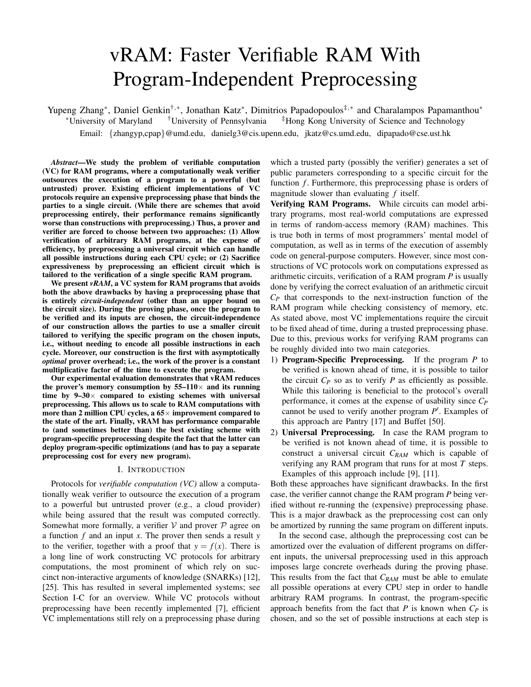# vRAM: Faster Verifiable RAM With Program-Independent Preprocessing

Yupeng Zhang<sup>∗</sup>, Daniel Genkin<sup>†,</sup>\*, Jonathan Katz<sup>∗</sup>, Dimitrios Papadopoulos<sup>‡,∗</sup> and Charalampos Papamanthou<sup>\*</sup> <sup>∗</sup>University of Maryland †University of Pennsylvania ‡Hong Kong University of Science and Technology Email: {zhangyp,cpap}@umd.edu, danielg3@cis.upenn.edu, jkatz@cs.umd.edu, dipapado@cse.ust.hk

*Abstract*—We study the problem of verifiable computation (VC) for RAM programs, where a computationally weak verifier outsources the execution of a program to a powerful (but untrusted) prover. Existing efficient implementations of VC protocols require an expensive preprocessing phase that binds the parties to a single circuit. (While there are schemes that avoid preprocessing entirely, their performance remains significantly worse than constructions with preprocessing.) Thus, a prover and verifier are forced to choose between two approaches: (1) Allow verification of arbitrary RAM programs, at the expense of efficiency, by preprocessing a universal circuit which can handle all possible instructions during each CPU cycle; or (2) Sacrifice expressiveness by preprocessing an efficient circuit which is tailored to the verification of a single specific RAM program.

We present *vRAM*, a VC system for RAM programs that avoids both the above drawbacks by having a preprocessing phase that is entirely *circuit-independent* (other than an upper bound on the circuit size). During the proving phase, once the program to be verified and its inputs are chosen, the circuit-independence of our construction allows the parties to use a smaller circuit tailored to verifying the specific program on the chosen inputs, i.e., without needing to encode all possible instructions in each cycle. Moreover, our construction is the first with asymptotically *optimal* prover overhead; i.e., the work of the prover is a constant multiplicative factor of the time to execute the program.

Our experimental evaluation demonstrates that vRAM reduces the prover's memory consumption by  $55-110\times$  and its running time by  $9-30 \times$  compared to existing schemes with universal preprocessing. This allows us to scale to RAM computations with more than 2 million CPU cycles, a  $65\times$  improvement compared to the state of the art. Finally, vRAM has performance comparable to (and sometimes better than) the best existing scheme with program-specific preprocessing despite the fact that the latter can deploy program-specific optimizations (and has to pay a separate preprocessing cost for every new program).

#### I. INTRODUCTION

Protocols for *verifiable computation (VC)* allow a computationally weak verifier to outsource the execution of a program to a powerful but untrusted prover (e.g., a cloud provider) while being assured that the result was computed correctly. Somewhat more formally, a verifier  $V$  and prover  $P$  agree on a function *f* and an input *x*. The prover then sends a result *y* to the verifier, together with a proof that  $y = f(x)$ . There is a long line of work constructing VC protocols for arbitrary computations, the most prominent of which rely on succinct non-interactive arguments of knowledge (SNARKs) [12], [25]. This has resulted in several implemented systems; see Section I-C for an overview. While VC protocols without preprocessing have been recently implemented [7], efficient VC implementations still rely on a preprocessing phase during

which a trusted party (possibly the verifier) generates a set of public parameters corresponding to a specific circuit for the function *f*. Furthermore, this preprocessing phase is orders of magnitude slower than evaluating *f* itself.

Verifying RAM Programs. While circuits can model arbitrary programs, most real-world computations are expressed in terms of random-access memory (RAM) machines. This is true both in terms of most programmers' mental model of computation, as well as in terms of the execution of assembly code on general-purpose computers. However, since most constructions of VC protocols work on computations expressed as arithmetic circuits, verification of a RAM program *P* is usually done by verifying the correct evaluation of an arithmetic circuit *C<sup>P</sup>* that corresponds to the next-instruction function of the RAM program while checking consistency of memory, etc. As stated above, most VC implementations require the circuit to be fixed ahead of time, during a trusted preprocessing phase. Due to this, previous works for verifying RAM programs can be roughly divided into two main categories.

- 1) Program-Specific Preprocessing. If the program *P* to be verified is known ahead of time, it is possible to tailor the circuit  $C_P$  so as to verify  $P$  as efficiently as possible. While this tailoring is beneficial to the protocol's overall performance, it comes at the expense of usability since *C<sup>P</sup>* cannot be used to verify another program P'. Examples of this approach are Pantry [17] and Buffet [50].
- 2) Universal Preprocessing. In case the RAM program to be verified is not known ahead of time, it is possible to construct a universal circuit *CRAM* which is capable of verifying any RAM program that runs for at most *T* steps. Examples of this approach include [9], [11].

Both these approaches have significant drawbacks. In the first case, the verifier cannot change the RAM program *P* being verified without re-running the (expensive) preprocessing phase. This is a major drawback as the preprocessing cost can only be amortized by running the same program on different inputs.

In the second case, although the preprocessing cost can be amortized over the evaluation of different programs on different inputs, the universal preprocessing used in this approach imposes large concrete overheads during the proving phase. This results from the fact that *CRAM* must be able to emulate all possible operations at every CPU step in order to handle arbitrary RAM programs. In contrast, the program-specific approach benefits from the fact that  $P$  is known when  $C_P$  is chosen, and so the set of possible instructions at each step is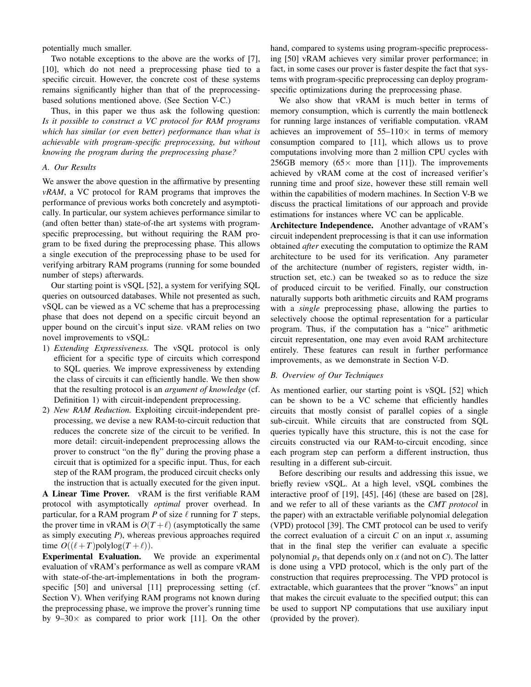potentially much smaller.

Two notable exceptions to the above are the works of [7], [10], which do not need a preprocessing phase tied to a specific circuit. However, the concrete cost of these systems remains significantly higher than that of the preprocessingbased solutions mentioned above. (See Section V-C.)

Thus, in this paper we thus ask the following question: *Is it possible to construct a VC protocol for RAM programs which has similar (or even better) performance than what is achievable with program-specific preprocessing, but without knowing the program during the preprocessing phase?*

## *A. Our Results*

We answer the above question in the affirmative by presenting *vRAM*, a VC protocol for RAM programs that improves the performance of previous works both concretely and asymptotically. In particular, our system achieves performance similar to (and often better than) state-of-the art systems with programspecific preprocessing, but without requiring the RAM program to be fixed during the preprocessing phase. This allows a single execution of the preprocessing phase to be used for verifying arbitrary RAM programs (running for some bounded number of steps) afterwards.

Our starting point is vSQL [52], a system for verifying SQL queries on outsourced databases. While not presented as such, vSQL can be viewed as a VC scheme that has a preprocessing phase that does not depend on a specific circuit beyond an upper bound on the circuit's input size. vRAM relies on two novel improvements to vSQL:

- 1) *Extending Expressiveness.* The vSQL protocol is only efficient for a specific type of circuits which correspond to SQL queries. We improve expressiveness by extending the class of circuits it can efficiently handle. We then show that the resulting protocol is an *argument of knowledge* (cf. Definition 1) with circuit-independent preprocessing.
- 2) *New RAM Reduction.* Exploiting circuit-independent preprocessing, we devise a new RAM-to-circuit reduction that reduces the concrete size of the circuit to be verified. In more detail: circuit-independent preprocessing allows the prover to construct "on the fly" during the proving phase a circuit that is optimized for a specific input. Thus, for each step of the RAM program, the produced circuit checks only the instruction that is actually executed for the given input.

A Linear Time Prover. vRAM is the first verifiable RAM protocol with asymptotically *optimal* prover overhead. In particular, for a RAM program  $P$  of size  $\ell$  running for  $T$  steps, the prover time in vRAM is  $O(T + \ell)$  (asymptotically the same as simply executing *P*), whereas previous approaches required time  $O((\ell+T)$ polylog $(T+\ell))$ .

Experimental Evaluation. We provide an experimental evaluation of vRAM's performance as well as compare vRAM with state-of-the-art-implementations in both the programspecific [50] and universal [11] preprocessing setting (cf. Section V). When verifying RAM programs not known during the preprocessing phase, we improve the prover's running time by  $9-30\times$  as compared to prior work [11]. On the other

hand, compared to systems using program-specific preprocessing [50] vRAM achieves very similar prover performance; in fact, in some cases our prover is faster despite the fact that systems with program-specific preprocessing can deploy programspecific optimizations during the preprocessing phase.

We also show that vRAM is much better in terms of memory consumption, which is currently the main bottleneck for running large instances of verifiable computation. vRAM achieves an improvement of  $55-110\times$  in terms of memory consumption compared to [11], which allows us to prove computations involving more than 2 million CPU cycles with 256GB memory (65 $\times$  more than [11]). The improvements achieved by vRAM come at the cost of increased verifier's running time and proof size, however these still remain well within the capabilities of modern machines. In Section V-B we discuss the practical limitations of our approach and provide estimations for instances where VC can be applicable.

Architecture Independence. Another advantage of vRAM's circuit independent preprocessing is that it can use information obtained *after* executing the computation to optimize the RAM architecture to be used for its verification. Any parameter of the architecture (number of registers, register width, instruction set, etc.) can be tweaked so as to reduce the size of produced circuit to be verified. Finally, our construction naturally supports both arithmetic circuits and RAM programs with a *single* preprocessing phase, allowing the parties to selectively choose the optimal representation for a particular program. Thus, if the computation has a "nice" arithmetic circuit representation, one may even avoid RAM architecture entirely. These features can result in further performance improvements, as we demonstrate in Section V-D.

#### *B. Overview of Our Techniques*

As mentioned earlier, our starting point is vSQL [52] which can be shown to be a VC scheme that efficiently handles circuits that mostly consist of parallel copies of a single sub-circuit. While circuits that are constructed from SQL queries typically have this structure, this is not the case for circuits constructed via our RAM-to-circuit encoding, since each program step can perform a different instruction, thus resulting in a different sub-circuit.

Before describing our results and addressing this issue, we briefly review vSQL. At a high level, vSQL combines the interactive proof of [19], [45], [46] (these are based on [28], and we refer to all of these variants as the *CMT protocol* in the paper) with an extractable verifiable polynomial delegation (VPD) protocol [39]. The CMT protocol can be used to verify the correct evaluation of a circuit  $C$  on an input  $x$ , assuming that in the final step the verifier can evaluate a specific polynomial  $p_x$  that depends only on x (and not on C). The latter is done using a VPD protocol, which is the only part of the construction that requires preprocessing. The VPD protocol is extractable, which guarantees that the prover "knows" an input that makes the circuit evaluate to the specified output; this can be used to support NP computations that use auxiliary input (provided by the prover).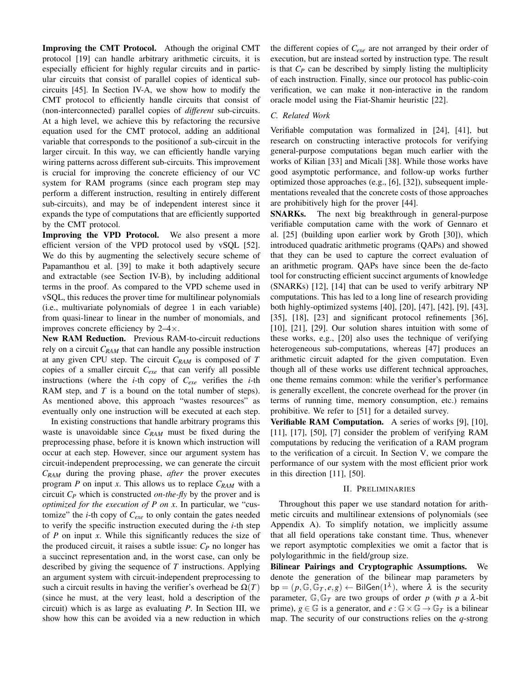Improving the CMT Protocol. Athough the original CMT protocol [19] can handle arbitrary arithmetic circuits, it is especially efficient for highly regular circuits and in particular circuits that consist of parallel copies of identical subcircuits [45]. In Section IV-A, we show how to modify the CMT protocol to efficiently handle circuits that consist of (non-interconnected) parallel copies of *different* sub-circuits. At a high level, we achieve this by refactoring the recursive equation used for the CMT protocol, adding an additional variable that corresponds to the positionof a sub-circuit in the larger circuit. In this way, we can efficiently handle varying wiring patterns across different sub-circuits. This improvement is crucial for improving the concrete efficiency of our VC system for RAM programs (since each program step may perform a different instruction, resulting in entirely different sub-circuits), and may be of independent interest since it expands the type of computations that are efficiently supported by the CMT protocol.

Improving the VPD Protocol. We also present a more efficient version of the VPD protocol used by vSQL [52]. We do this by augmenting the selectively secure scheme of Papamanthou et al. [39] to make it both adaptively secure and extractable (see Section IV-B), by including additional terms in the proof. As compared to the VPD scheme used in vSQL, this reduces the prover time for multilinear polynomials (i.e., multivariate polynomials of degree 1 in each variable) from quasi-linear to linear in the number of monomials, and improves concrete efficiency by 2–4×.

New RAM Reduction. Previous RAM-to-circuit reductions rely on a circuit *CRAM* that can handle any possible instruction at any given CPU step. The circuit *CRAM* is composed of *T* copies of a smaller circuit *Cexe* that can verify all possible instructions (where the *i*-th copy of *Cexe* verifies the *i*-th RAM step, and *T* is a bound on the total number of steps). As mentioned above, this approach "wastes resources" as eventually only one instruction will be executed at each step.

In existing constructions that handle arbitrary programs this waste is unavoidable since *CRAM* must be fixed during the preprocessing phase, before it is known which instruction will occur at each step. However, since our argument system has circuit-independent preprocessing, we can generate the circuit *CRAM* during the proving phase, *after* the prover executes program *P* on input *x*. This allows us to replace *CRAM* with a circuit *C<sup>P</sup>* which is constructed *on-the-fly* by the prover and is *optimized for the execution of P on x*. In particular, we "customize" the *i*-th copy of *Cexe* to only contain the gates needed to verify the specific instruction executed during the *i*-th step of *P* on input *x*. While this significantly reduces the size of the produced circuit, it raises a subtle issue: *C<sup>P</sup>* no longer has a succinct representation and, in the worst case, can only be described by giving the sequence of *T* instructions. Applying an argument system with circuit-independent preprocessing to such a circuit results in having the verifier's overhead be  $\Omega(T)$ (since he must, at the very least, hold a description of the circuit) which is as large as evaluating *P*. In Section III, we show how this can be avoided via a new reduction in which the different copies of *Cexe* are not arranged by their order of execution, but are instead sorted by instruction type. The result is that  $C_P$  can be described by simply listing the multiplicity of each instruction. Finally, since our protocol has public-coin verification, we can make it non-interactive in the random oracle model using the Fiat-Shamir heuristic [22].

### *C. Related Work*

Verifiable computation was formalized in [24], [41], but research on constructing interactive protocols for verifying general-purpose computations began much earlier with the works of Kilian [33] and Micali [38]. While those works have good asymptotic performance, and follow-up works further optimized those approaches (e.g., [6], [32]), subsequent implementations revealed that the concrete costs of those approaches are prohibitively high for the prover [44].

SNARKs. The next big breakthrough in general-purpose verifiable computation came with the work of Gennaro et al. [25] (building upon earlier work by Groth [30]), which introduced quadratic arithmetic programs (QAPs) and showed that they can be used to capture the correct evaluation of an arithmetic program. QAPs have since been the de-facto tool for constructing efficient succinct arguments of knowledge (SNARKs) [12], [14] that can be used to verify arbitrary NP computations. This has led to a long line of research providing both highly-optimized systems [40], [20], [47], [42], [9], [43], [35], [18], [23] and significant protocol refinements [36], [10], [21], [29]. Our solution shares intuition with some of these works, e.g., [20] also uses the technique of verifying heterogeneous sub-computations, whereas [47] produces an arithmetic circuit adapted for the given computation. Even though all of these works use different technical approaches, one theme remains common: while the verifier's performance is generally excellent, the concrete overhead for the prover (in terms of running time, memory consumption, etc.) remains prohibitive. We refer to [51] for a detailed survey.

Verifiable RAM Computation. A series of works [9], [10], [11], [17], [50], [7] consider the problem of verifying RAM computations by reducing the verification of a RAM program to the verification of a circuit. In Section V, we compare the performance of our system with the most efficient prior work in this direction [11], [50].

#### II. PRELIMINARIES

Throughout this paper we use standard notation for arithmetic circuits and multilinear extensions of polynomials (see Appendix A). To simplify notation, we implicitly assume that all field operations take constant time. Thus, whenever we report asymptotic complexities we omit a factor that is polylogarithmic in the field/group size.

Bilinear Pairings and Cryptographic Assumptions. We denote the generation of the bilinear map parameters by  $bp = (p, \mathbb{G}, \mathbb{G}_T, e, g) \leftarrow \text{BilGen}(1^{\lambda}), \text{ where } \lambda \text{ is the security}$ parameter,  $\mathbb{G}, \mathbb{G}_T$  are two groups of order p (with p a  $\lambda$ -bit prime),  $g \in \mathbb{G}$  is a generator, and  $e : \mathbb{G} \times \mathbb{G} \to \mathbb{G}_T$  is a bilinear map. The security of our constructions relies on the *q*-strong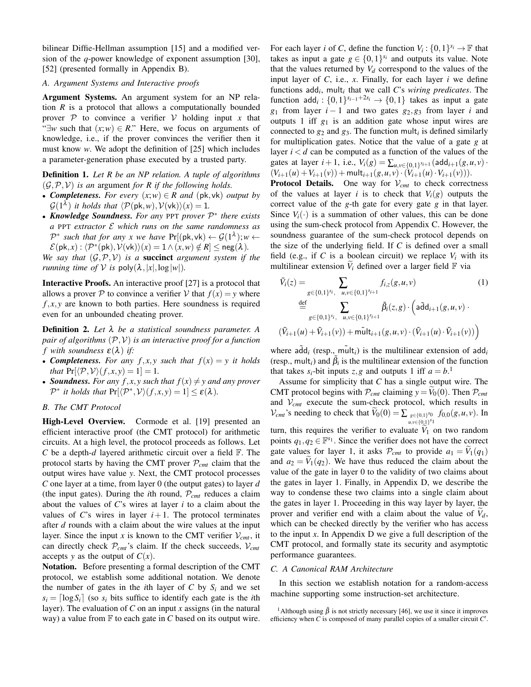bilinear Diffie-Hellman assumption [15] and a modified version of the *q*-power knowledge of exponent assumption [30], [52] (presented formally in Appendix B).

## *A. Argument Systems and Interactive proofs*

Argument Systems. An argument system for an NP relation *R* is a protocol that allows a computationally bounded prover  $P$  to convince a verifier  $V$  holding input x that " $\exists w$  such that  $(x; w) \in R$ ." Here, we focus on arguments of knowledge, i.e., if the prover convinces the verifier then it must know *w*. We adopt the definition of [25] which includes a parameter-generation phase executed by a trusted party.

Definition 1. *Let R be an NP relation. A tuple of algorithms*  $(\mathcal{G}, \mathcal{P}, \mathcal{V})$  *is an argument for R if the following holds.* 

- *Completeness. For every*  $(x; w) \in R$  *and*  $(\mathsf{pk}, \mathsf{vk})$  *output by*  $\mathcal{G}(1^{\lambda})$  *it holds that*  $\langle \mathcal{P}(\mathsf{pk},w),\mathcal{V}(\mathsf{vk})\rangle(x) = 1$ *.*
- *Knowledge Soundness. For any* PPT *prover* P ∗ *there exists a* PPT *extractor* E *which runs on the same randomness as*  $\mathcal{P}^*$  such that for any x we have  $Pr[(pk, vk) \leftarrow \mathcal{G}(1^{\lambda}); w \leftarrow$  $\mathcal{E}(\mathsf{pk}, x) : \langle \mathcal{P}^*(\mathsf{pk}), \mathcal{V}(\mathsf{vk}) \rangle(x) = 1 \land (x, w) \notin R \le \mathsf{neg}(\lambda).$

*We say that*  $(G, \mathcal{P}, \mathcal{V})$  *is a* **succinct** *argument system if the running time of*  $V$  *is* poly $(\lambda, |x|, \log |w|)$ *.* 

Interactive Proofs. An interactive proof [27] is a protocol that allows a prover P to convince a verifier V that  $f(x) = y$  where  $f, x, y$  are known to both parties. Here soundness is required even for an unbounded cheating prover.

Definition 2. *Let* λ *be a statistical soundness parameter. A pair of algorithms* (P,V) *is an interactive proof for a function f* with soundness  $\varepsilon(\lambda)$  *if:* 

- **Completeness.** For any  $f, x, y$  such that  $f(x) = y$  it holds *that*  $Pr[\langle \mathcal{P}, \mathcal{V} \rangle (f, x, y) = 1] = 1$ .
- **Soundness.** For any  $f, x, y$  such that  $f(x) \neq y$  and any prover  $\mathcal{P}^*$  *it holds that*  $\Pr[\langle \mathcal{P}^*, \mathcal{V} \rangle (f, x, y) = 1] \leq \varepsilon(\lambda)$ *.*

## *B. The CMT Protocol*

High-Level Overview. Cormode et al. [19] presented an efficient interactive proof (the CMT protocol) for arithmetic circuits. At a high level, the protocol proceeds as follows. Let *C* be a depth-*d* layered arithmetic circuit over a field F. The protocol starts by having the CMT prover P*cmt* claim that the output wires have value *y*. Next, the CMT protocol processes *C* one layer at a time, from layer 0 (the output gates) to layer *d* (the input gates). During the *i*th round,  $P_{cmt}$  reduces a claim about the values of *C*'s wires at layer *i* to a claim about the values of *C*'s wires in layer  $i+1$ . The protocol terminates after *d* rounds with a claim about the wire values at the input layer. Since the input *x* is known to the CMT verifier  $V_{cmt}$ , it can directly check P*cmt*'s claim. If the check succeeds, V*cmt* accepts *y* as the output of  $C(x)$ .

Notation. Before presenting a formal description of the CMT protocol, we establish some additional notation. We denote the number of gates in the *i*th layer of C by  $S_i$  and we set  $s_i = \lfloor \log S_i \rfloor$  (so  $s_i$  bits suffice to identify each gate is the *i*th layer). The evaluation of *C* on an input *x* assigns (in the natural way) a value from  $\mathbb F$  to each gate in *C* based on its output wire.

For each layer *i* of *C*, define the function  $V_i: \{0,1\}^{s_i} \to \mathbb{F}$  that takes as input a gate  $g \in \{0,1\}^{s_i}$  and outputs its value. Note that the values returned by  $V_d$  correspond to the values of the input layer of *C*, i.e., *x*. Finally, for each layer *i* we define functions add*<sup>i</sup>* , mult*<sup>i</sup>* that we call *C*'s *wiring predicates*. The function  $\text{add}_i: \{0,1\}^{s_{i-1}+2s_i} \to \{0,1\}$  takes as input a gate *g*<sup>1</sup> from layer *i* − 1 and two gates *g*2,*g*<sup>3</sup> from layer *i* and outputs 1 iff *g*<sup>1</sup> is an addition gate whose input wires are connected to  $g_2$  and  $g_3$ . The function mult<sub>*i*</sub> is defined similarly for multiplication gates. Notice that the value of a gate *g* at layer  $i < d$  can be computed as a function of the values of the gates at layer  $i+1$ , i.e.,  $V_i(g) = \sum_{u,v \in \{0,1\}^{s_{i+1}}} (add_{i+1}(g,u,v) \cdot$  $(V_{i+1}(u) + V_{i+1}(v)) + \text{mult}_{i+1}(g, u, v) \cdot (V_{i+1}(u) \cdot V_{i+1}(v))).$ 

**Protocol Details.** One way for  $V_{cmt}$  to check correctness of the values at layer *i* is to check that  $V_i(g)$  outputs the correct value of the *g*-th gate for every gate *g* in that layer. Since  $V_i(\cdot)$  is a summation of other values, this can be done using the sum-check protocol from Appendix C. However, the soundness guarantee of the sum-check protocol depends on the size of the underlying field. If *C* is defined over a small field (e.g., if C is a boolean circuit) we replace  $V_i$  with its multilinear extension  $\hat{V}_i$  defined over a larger field  $\mathbb F$  via

$$
\tilde{V}_i(z) = \sum_{g \in \{0,1\}^{s_i}, \mu, v \in \{0,1\}^{s_{i+1}}} f_{i,z}(g, u, v)
$$
\n
$$
\stackrel{\text{def}}{=} \sum_{g \in \{0,1\}^{s_i}, \mu, v \in \{0,1\}^{s_{i+1}}} \tilde{\beta}_i(z, g) \cdot \left(\tilde{\text{add}}_{i+1}(g, u, v) \cdot \tilde{V}_{i+1}(u) + \tilde{V}_{i+1}(v)) + \tilde{\text{mult}}_{i+1}(g, u, v) \cdot (\tilde{V}_{i+1}(u) \cdot \tilde{V}_{i+1}(v))\right)
$$
\n(1)

where  $\tilde{\text{add}}_i$  (resp., multilinear extension of  $\text{add}_i$ (resp., mult<sub>*i*</sub>) and  $\tilde{\beta}_i$  is the multilinear extension of the function that takes  $s_i$ -bit inputs  $z, g$  and outputs 1 iff  $a = b$ <sup>1</sup>

Assume for simplicity that *C* has a single output wire. The CMT protocol begins with  $P_{cmt}$  claiming  $y = V_0(0)$ . Then  $P_{cmt}$ and V*cmt* execute the sum-check protocol, which results in  $V_{cm}$ 's needing to check that  $V_0(0) = \sum_{g \in \{0,1\}^{\delta_0}} f_{0,0}(g, u, v)$ . In *u*,*v*∈{0,1} *s*1

turn, this requires the verifier to evaluate  $V_1$  on two random points  $q_1, q_2 \in \mathbb{F}^{s_1}$ . Since the verifier does not have the correct gate values for layer 1, it asks  $P_{cmt}$  to provide  $a_1 = V_1(q_1)$ and  $a_2 = V_1(q_2)$ . We have thus reduced the claim about the value of the gate in layer 0 to the validity of two claims about the gates in layer 1. Finally, in Appendix D, we describe the way to condense these two claims into a single claim about the gates in layer 1. Proceeding in this way layer by layer, the prover and verifier end with a claim about the value of  $V_d$ , which can be checked directly by the verifier who has access to the input *x*. In Appendix D we give a full description of the CMT protocol, and formally state its security and asymptotic performance guarantees.

#### *C. A Canonical RAM Architecture*

In this section we establish notation for a random-access machine supporting some instruction-set architecture.

<sup>&</sup>lt;sup>1</sup>Although using  $\tilde{\beta}$  is not strictly necessary [46], we use it since it improves efficiency when *C* is composed of many parallel copies of a smaller circuit  $C'$ .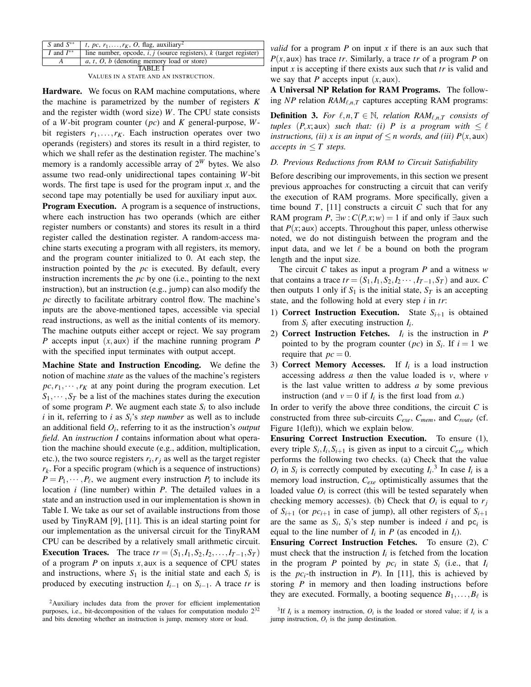| $S$ and $S^{**}$ | <i>t</i> , pc, $r_1, \ldots, r_K$ , O, flag, auxiliary <sup>2</sup>   |
|------------------|-----------------------------------------------------------------------|
| I and $I^{**}$   | line number, opcode, $i, j$ (source registers), $k$ (target register) |
|                  | a, t, O, b (denoting memory load or store)                            |
|                  | LA RIFI                                                               |

VALUES IN A STATE AND AN INSTRUCTION.

Hardware. We focus on RAM machine computations, where the machine is parametrized by the number of registers *K* and the register width (word size) *W*. The CPU state consists of a *W*-bit program counter (*pc*) and *K* general-purpose, *W*bit registers  $r_1, \ldots, r_K$ . Each instruction operates over two operands (registers) and stores its result in a third register, to which we shall refer as the destination register. The machine's memory is a randomly accessible array of 2*<sup>W</sup>* bytes. We also assume two read-only unidirectional tapes containing *W*-bit words. The first tape is used for the program input *x*, and the second tape may potentially be used for auxiliary input aux.

Program Execution. A program is a sequence of instructions, where each instruction has two operands (which are either register numbers or constants) and stores its result in a third register called the destination register. A random-access machine starts executing a program with all registers, its memory, and the program counter initialized to 0. At each step, the instruction pointed by the *pc* is executed. By default, every instruction increments the *pc* by one (i.e., pointing to the next instruction), but an instruction (e.g., jump) can also modify the *pc* directly to facilitate arbitrary control flow. The machine's inputs are the above-mentioned tapes, accessible via special read instructions, as well as the initial contents of its memory. The machine outputs either accept or reject. We say program *P* accepts input (*x*,aux) if the machine running program *P* with the specified input terminates with output accept.

Machine State and Instruction Encoding. We define the notion of machine *state* as the values of the machine's registers  $pc, r_1, \dots, r_K$  at any point during the program execution. Let  $S_1, \dots, S_T$  be a list of the machines states during the execution of some program  $P$ . We augment each state  $S_i$  to also include *i* in it, referring to *i* as *Si*'s *step number* as well as to include an additional field *O<sup>i</sup>* , referring to it as the instruction's *output field*. An *instruction I* contains information about what operation the machine should execute (e.g., addition, multiplication, etc.), the two source registers  $r_i, r_j$  as well as the target register  $r_k$ . For a specific program (which is a sequence of instructions)  $P = P_1, \dots, P_\ell$ , we augment every instruction  $P_i$  to include its location *i* (line number) within *P*. The detailed values in a state and an instruction used in our implementation is shown in Table I. We take as our set of available instructions from those used by TinyRAM [9], [11]. This is an ideal starting point for our implementation as the universal circuit for the TinyRAM CPU can be described by a relatively small arithmetic circuit. **Execution Traces.** The trace  $tr = (S_1, I_1, S_2, I_2, \ldots, I_{T-1}, S_T)$ of a program  $P$  on inputs  $x$ , aux is a sequence of CPU states and instructions, where  $S_1$  is the initial state and each  $S_i$  is produced by executing instruction  $I_{i-1}$  on  $S_{i-1}$ . A trace  $tr$  is

*valid* for a program *P* on input *x* if there is an aux such that  $P(x, aux)$  has trace *tr*. Similarly, a trace *tr* of a program *P* on input *x* is accepting if there exists aux such that *tr* is valid and we say that *P* accepts input  $(x, \text{aux})$ .

A Universal NP Relation for RAM Programs. The following  $NP$  relation  $RAM_{\ell,n,T}$  captures accepting RAM programs:

**Definition 3.** For  $\ell, n, T \in \mathbb{N}$ , relation  $RAM_{\ell, n, T}$  consists of *tuples*  $(P, x; aux)$  *such that: (i) P is a program with*  $\leq \ell$ *instructions, (ii) x is an input of*  $\leq$  *n* words, and (iii)  $P(x, aux)$ *accepts in*  $\leq T$  *steps.* 

## *D. Previous Reductions from RAM to Circuit Satisfiability*

Before describing our improvements, in this section we present previous approaches for constructing a circuit that can verify the execution of RAM programs. More specifically, given a time bound  $T$ , [11] constructs a circuit  $C$  such that for any RAM program *P*,  $\exists w$  :  $C(P, x; w) = 1$  if and only if ∃aux such that  $P(x;$ aux) accepts. Throughout this paper, unless otherwise noted, we do not distinguish between the program and the input data, and we let  $\ell$  be a bound on both the program length and the input size.

The circuit *C* takes as input a program *P* and a witness *w* that contains a trace  $tr = (S_1, I_1, S_2, I_2 \cdots, I_{T-1}, S_T)$  and aux. *C* then outputs 1 only if  $S_1$  is the initial state,  $S_T$  is an accepting state, and the following hold at every step *i* in *tr*:

- 1) **Correct Instruction Execution.** State  $S_{i+1}$  is obtained from  $S_i$  after executing instruction  $I_i$ .
- 2) Correct Instruction Fetches. *I<sup>i</sup>* is the instruction in *P* pointed to by the program counter  $(pc)$  in  $S_i$ . If  $i = 1$  we require that  $pc = 0$ .
- 3) **Correct Memory Accesses.** If  $I_i$  is a load instruction accessing address *a* then the value loaded is *v*, where *v* is the last value written to address *a* by some previous instruction (and  $v = 0$  if  $I_i$  is the first load from *a*.)

In order to verify the above three conditions, the circuit *C* is constructed from three sub-circuits *Cexe*, *Cmem*, and *Croute* (cf. Figure 1(left)), which we explain below.

Ensuring Correct Instruction Execution. To ensure (1), every triple  $S_i$ ,  $I_i$ ,  $S_{i+1}$  is given as input to a circuit  $C_{exe}$  which performs the following two checks. (a) Check that the value  $O_i$  in  $S_i$  is correctly computed by executing  $I_i$ <sup>3</sup>. In case  $I_i$  is a memory load instruction, *Cexe* optimistically assumes that the loaded value  $O_i$  is correct (this will be tested separately when checking memory accesses). (b) Check that  $O_i$  is equal to  $r_j$ of  $S_{i+1}$  (or  $pc_{i+1}$  in case of jump), all other registers of  $S_{i+1}$ are the same as  $S_i$ ,  $S_i$ 's step number is indeed *i* and  $pc_i$  is equal to the line number of  $I_i$  in  $P$  (as encoded in  $I_i$ ).

Ensuring Correct Instruction Fetches. To ensure (2), *C* must check that the instruction  $I_i$  is fetched from the location in the program *P* pointed by  $pc_i$  in state  $S_i$  (i.e., that  $I_i$ is the  $pc_i$ -th instruction in *P*). In [11], this is achieved by storing *P* in memory and then loading instructions before they are executed. Formally, a booting sequence  $B_1, \ldots, B_\ell$  is

<sup>&</sup>lt;sup>2</sup>Auxiliary includes data from the prover for efficient implementation purposes, i.e., bit-decomposition of the values for computation modulo  $2^{32}$ and bits denoting whether an instruction is jump, memory store or load.

<sup>&</sup>lt;sup>3</sup>If  $I_i$  is a memory instruction,  $O_i$  is the loaded or stored value; if  $I_i$  is a jump instruction,  $O_i$  is the jump destination.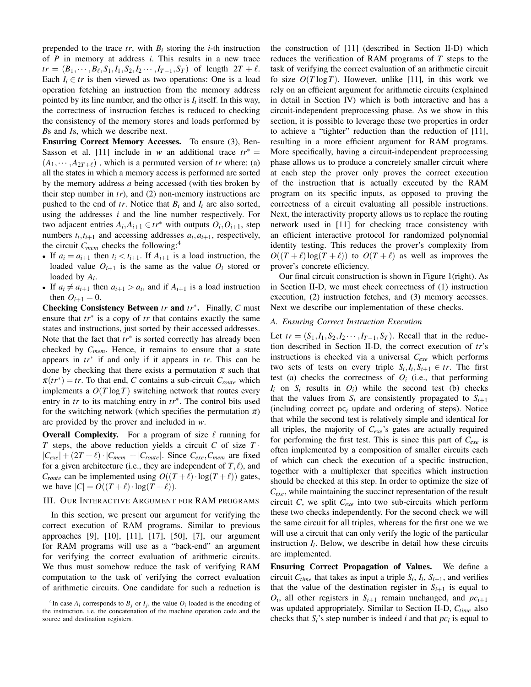prepended to the trace  $tr$ , with  $B_i$  storing the *i*-th instruction of *P* in memory at address *i*. This results in a new trace  $tr = (B_1, \dots, B_\ell, S_1, I_1, S_2, I_2 \dots, I_{T-1}, S_T)$  of length  $2T + \ell$ . Each  $I_i \in tr$  is then viewed as two operations: One is a load operation fetching an instruction from the memory address pointed by its line number, and the other is  $I_i$  itself. In this way, the correctness of instruction fetches is reduced to checking the consistency of the memory stores and loads performed by *B*s and *I*s, which we describe next.

Ensuring Correct Memory Accesses. To ensure (3), Ben-Sasson et al. [11] include in *w* an additional trace  $tr^*$  =  $(A_1, \dots, A_{2T+\ell})$ , which is a permuted version of *tr* where: (a) all the states in which a memory access is performed are sorted by the memory address *a* being accessed (with ties broken by their step number in *tr*), and (2) non-memory instructions are pushed to the end of *tr*. Notice that  $B_i$  and  $I_i$  are also sorted, using the addresses *i* and the line number respectively. For two adjacent entries  $A_i, A_{i+1} \in tr^*$  with outputs  $O_i, O_{i+1}$ , step numbers  $t_i, t_{i+1}$  and accessing addresses  $a_i, a_{i+1}$ , respectively, the circuit *Cmem* checks the following:<sup>4</sup>

- If  $a_i = a_{i+1}$  then  $t_i < t_{i+1}$ . If  $A_{i+1}$  is a load instruction, the loaded value  $O_{i+1}$  is the same as the value  $O_i$  stored or loaded by *A<sup>i</sup>* .
- If  $a_i \neq a_{i+1}$  then  $a_{i+1} > a_i$ , and if  $A_{i+1}$  is a load instruction then  $O_{i+1} = 0$ .

Checking Consistency Between *tr* and *tr*∗ . Finally, *C* must ensure that *tr*∗ is a copy of *tr* that contains exactly the same states and instructions, just sorted by their accessed addresses. Note that the fact that *tr*∗ is sorted correctly has already been checked by *Cmem*. Hence, it remains to ensure that a state appears in *tr*∗ if and only if it appears in *tr*. This can be done by checking that there exists a permutation  $\pi$  such that  $\pi(tr^*) = tr$ . To that end, *C* contains a sub-circuit  $C_{route}$  which implements a  $O(T \log T)$  switching network that routes every entry in *tr* to its matching entry in *tr*∗ . The control bits used for the switching network (which specifies the permutation  $\pi$ ) are provided by the prover and included in *w*.

**Overall Complexity.** For a program of size  $\ell$  running for *T* steps, the above reduction yields a circuit *C* of size  $T \cdot$  $|C_{exe}| + (2T + \ell) \cdot |C_{mem}| + |C_{route}|$ . Since  $C_{exe}, C_{mem}$  are fixed for a given architecture (i.e., they are independent of  $T, \ell$ ), and *C*<sub>route</sub> can be implemented using  $O((T + \ell) \cdot \log(T + \ell))$  gates, we have  $|C| = O((T + \ell) \cdot \log(T + \ell)).$ 

### III. OUR INTERACTIVE ARGUMENT FOR RAM PROGRAMS

In this section, we present our argument for verifying the correct execution of RAM programs. Similar to previous approaches [9], [10], [11], [17], [50], [7], our argument for RAM programs will use as a "back-end" an argument for verifying the correct evaluation of arithmetic circuits. We thus must somehow reduce the task of verifying RAM computation to the task of verifying the correct evaluation of arithmetic circuits. One candidate for such a reduction is

the construction of [11] (described in Section II-D) which reduces the verification of RAM programs of *T* steps to the task of verifying the correct evaluation of an arithmetic circuit fo size  $O(T \log T)$ . However, unlike [11], in this work we rely on an efficient argument for arithmetic circuits (explained in detail in Section IV) which is both interactive and has a circuit-independent preprocessing phase. As we show in this section, it is possible to leverage these two properties in order to achieve a "tighter" reduction than the reduction of [11], resulting in a more efficient argument for RAM programs. More specifically, having a circuit-independent preprocessing phase allows us to produce a concretely smaller circuit where at each step the prover only proves the correct execution of the instruction that is actually executed by the RAM program on its specific inputs, as opposed to proving the correctness of a circuit evaluating all possible instructions. Next, the interactivity property allows us to replace the routing network used in [11] for checking trace consistency with an efficient interactive protocol for randomized polynomial identity testing. This reduces the prover's complexity from  $O((T + \ell) \log(T + \ell))$  to  $O(T + \ell)$  as well as improves the prover's concrete efficiency.

Our final circuit construction is shown in Figure 1(right). As in Section II-D, we must check correctness of (1) instruction execution, (2) instruction fetches, and (3) memory accesses. Next we describe our implementation of these checks.

#### *A. Ensuring Correct Instruction Execution*

Let  $tr = (S_1, I_1, S_2, I_2 \cdots, I_{T-1}, S_T)$ . Recall that in the reduction described in Section II-D, the correct execution of *tr*'s instructions is checked via a universal *Cexe* which performs two sets of tests on every triple  $S_i, I_i, S_{i+1} \in tr$ . The first test (a) checks the correctness of  $O_i$  (i.e., that performing  $I_i$  on  $S_i$  results in  $O_i$ ) while the second test (b) checks that the values from  $S_i$  are consistently propagated to  $S_{i+1}$ (including correct pc*<sup>i</sup>* update and ordering of steps). Notice that while the second test is relatively simple and identical for all triples, the majority of *Cexe*'s gates are actually required for performing the first test. This is since this part of *Cexe* is often implemented by a composition of smaller circuits each of which can check the execution of a specific instruction, together with a multiplexer that specifies which instruction should be checked at this step. In order to optimize the size of *Cexe*, while maintaining the succinct representation of the result circuit *C*, we split *Cexe* into two sub-circuits which perform these two checks independently. For the second check we will the same circuit for all triples, whereas for the first one we we will use a circuit that can only verify the logic of the particular instruction  $I_i$ . Below, we describe in detail how these circuits are implemented.

Ensuring Correct Propagation of Values. We define a circuit  $C_{time}$  that takes as input a triple  $S_i$ ,  $I_i$ ,  $S_{i+1}$ , and verifies that the value of the destination register in  $S_{i+1}$  is equal to  $O_i$ , all other registers in  $S_{i+1}$  remain unchanged, and  $pc_{i+1}$ was updated appropriately. Similar to Section II-D, *Ctime* also checks that  $S_i$ 's step number is indeed *i* and that  $pc_i$  is equal to

<sup>&</sup>lt;sup>4</sup>In case  $A_i$  corresponds to  $B_j$  or  $I_j$ , the value  $O_i$  loaded is the encoding of the instruction, i.e. the concatenation of the machine operation code and the source and destination registers.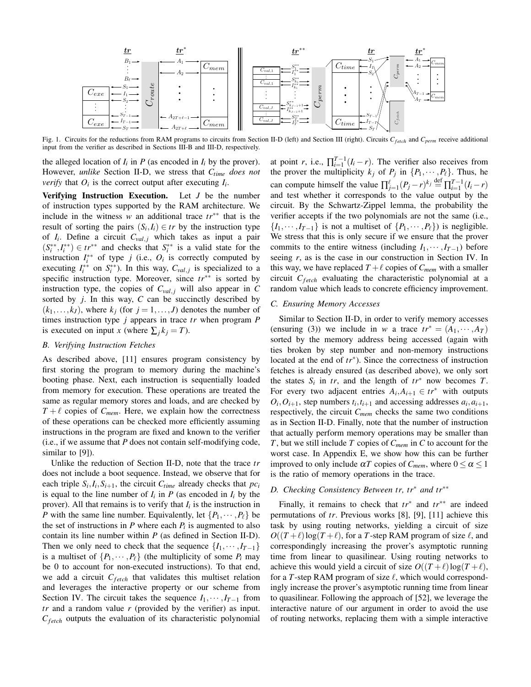

Fig. 1. Circuits for the reductions from RAM programs to circuits from Section II-D (left) and Section III (right). Circuits *Cf etch* and *Cperm* receive additional input from the verifier as described in Sections III-B and III-D, respectively.

the alleged location of  $I_i$  in  $P$  (as encoded in  $I_i$  by the prover). However, *unlike* Section II-D, we stress that *Ctime does not verify* that  $O_i$  is the correct output after executing  $I_i$ .

Verifying Instruction Execution. Let *J* be the number of instruction types supported by the RAM architecture. We include in the witness *w* an additional trace *tr*∗∗ that is the result of sorting the pairs  $(S_i, I_i) \in tr$  by the instruction type of  $I_i$ . Define a circuit  $C_{val,j}$  which takes as input a pair  $(S_i^{**}, I_i^{**}) \in tr^{**}$  and checks that  $S_i^{**}$  is a valid state for the instruction  $I_i^{**}$  of type *j* (i.e.,  $O_i$  is correctly computed by executing  $I_i^{**}$  on  $S_i^{**}$ ). In this way,  $C_{val,j}$  is specialized to a specific instruction type. Moreover, since  $tr<sup>∗∗</sup>$  is sorted by instruction type, the copies of  $C_{val,j}$  will also appear in C sorted by *j*. In this way, *C* can be succinctly described by  $(k_1, \ldots, k_J)$ , where  $k_j$  (for  $j = 1, \ldots, J$ ) denotes the number of times instruction type *j* appears in trace *tr* when program *P* is executed on input *x* (where  $\sum_j k_j = T$ ).

#### *B. Verifying Instruction Fetches*

As described above, [11] ensures program consistency by first storing the program to memory during the machine's booting phase. Next, each instruction is sequentially loaded from memory for execution. These operations are treated the same as regular memory stores and loads, and are checked by  $T + \ell$  copies of  $C_{mem}$ . Here, we explain how the correctness of these operations can be checked more efficiently assuming instructions in the program are fixed and known to the verifier (i.e., if we assume that *P* does not contain self-modifying code, similar to [9]).

Unlike the reduction of Section II-D, note that the trace *tr* does not include a boot sequence. Instead, we observe that for each triple  $S_i$ ,  $I_i$ ,  $S_{i+1}$ , the circuit  $C_{time}$  already checks that  $pc_i$ is equal to the line number of  $I_i$  in  $P$  (as encoded in  $I_i$  by the prover). All that remains is to verify that  $I_i$  is the instruction in *P* with the same line number. Equivalently, let  $\{P_1, \dots, P_\ell\}$  be the set of instructions in  $P$  where each  $P_i$  is augmented to also contain its line number within *P* (as defined in Section II-D). Then we only need to check that the sequence  $\{I_1, \dots, I_{T-1}\}$ is a multiset of  $\{P_1, \dots, P_\ell\}$  (the multiplicity of some  $P_i$  may be 0 to account for non-executed instructions). To that end, we add a circuit  $C_{fetch}$  that validates this multiset relation and leverages the interactive property or our scheme from Section IV. The circuit takes the sequence  $I_1, \dots, I_{T-1}$  from *tr* and a random value *r* (provided by the verifier) as input. *C*<sub>fetch</sub> outputs the evaluation of its characteristic polynomial

at point *r*, i.e.,  $\prod_{i=1}^{T-1} (I_i - r)$ . The verifier also receives from the prover the multiplicity  $k_j$  of  $P_j$  in  $\{P_1, \dots, P_\ell\}$ . Thus, he can compute himself the value  $\prod_{j=1}^{\ell} (P_j - r)^{k_j} \stackrel{\text{def}}{=} \prod_{i=1}^{T-1} (I_i - r)$ and test whether it corresponds to the value output by the circuit. By the Schwartz-Zippel lemma, the probability the verifier accepts if the two polynomials are not the same (i.e.,  $\{I_1,\dots, I_{T-1}\}\$ is not a multiset of  $\{P_1,\dots, P_\ell\}\$  is negligible. We stress that this is only secure if we ensure that the prover commits to the entire witness (including  $I_1, \dots, I_{T-1}$ ) before seeing *r*, as is the case in our construction in Section IV. In this way, we have replaced  $T + \ell$  copies of  $C_{mem}$  with a smaller circuit *C*<sub>fetch</sub> evaluating the characteristic polynomial at a random value which leads to concrete efficiency improvement.

#### *C. Ensuring Memory Accesses*

Similar to Section II-D, in order to verify memory accesses (ensuring (3)) we include in *w* a trace  $tr^* = (A_1, \dots, A_T)$ sorted by the memory address being accessed (again with ties broken by step number and non-memory instructions located at the end of *tr*∗ ). Since the correctness of instruction fetches is already ensured (as described above), we only sort the states  $S_i$  in *tr*, and the length of  $tr^*$  now becomes *T*. For every two adjacent entries  $A_i, A_{i+1} \in \{tr^* \text{ with outputs }$  $O_i$ ,  $O_{i+1}$ , step numbers  $t_i$ ,  $t_{i+1}$  and accessing addresses  $a_i$ ,  $a_{i+1}$ , respectively, the circuit *Cmem* checks the same two conditions as in Section II-D. Finally, note that the number of instruction that actually perform memory operations may be smaller than *T*, but we still include *T* copies of *Cmem* in *C* to account for the worst case. In Appendix E, we show how this can be further improved to only include  $\alpha T$  copies of  $C_{mem}$ , where  $0 \le \alpha \le 1$ is the ratio of memory operations in the trace.

## *D. Checking Consistency Between tr, tr*∗ *and tr*∗∗

Finally, it remains to check that *tr*∗ and *tr*∗∗ are indeed permutations of *tr*. Previous works [8], [9], [11] achieve this task by using routing networks, yielding a circuit of size  $O((T+\ell)\log(T+\ell))$ , for a *T*-step RAM program of size  $\ell$ , and correspondingly increasing the prover's asymptotic running time from linear to quasilinear. Using routing networks to achieve this would yield a circuit of size  $O((T+\ell)\log(T+\ell))$ , for a  $T$ -step RAM program of size  $\ell$ , which would correspondingly increase the prover's asymptotic running time from linear to quasilinear. Following the approach of [52], we leverage the interactive nature of our argument in order to avoid the use of routing networks, replacing them with a simple interactive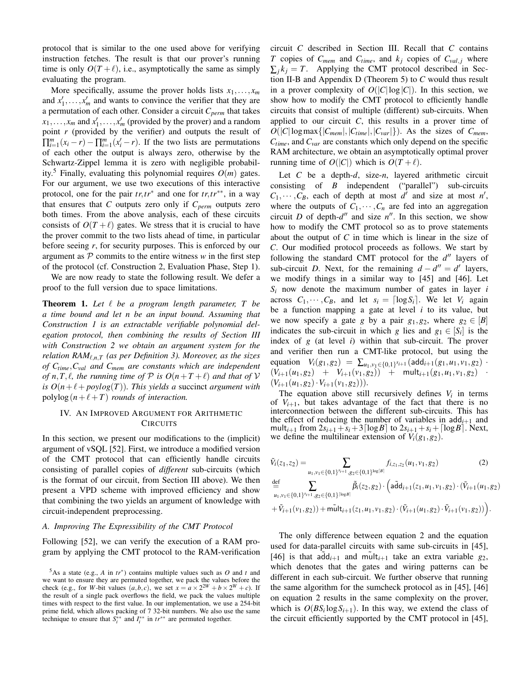protocol that is similar to the one used above for verifying instruction fetches. The result is that our prover's running time is only  $O(T+\ell)$ , i.e., asymptotically the same as simply evaluating the program.

More specifically, assume the prover holds lists  $x_1, \ldots, x_m$ and  $x'_1, \ldots, x'_m$  and wants to convince the verifier that they are a permutation of each other. Consider a circuit *Cperm* that takes  $x_1, \ldots, x_m$  and  $x'_1, \ldots, x'_m$  (provided by the prover) and a random point *r* (provided by the verifier) and outputs the result of  $\prod_{i=1}^{m} (x_i - r) - \prod_{i=1}^{m} (x'_i - r)$ . If the two lists are permutations of each other the output is always zero, otherwise by the Schwartz-Zippel lemma it is zero with negligible probability.<sup>5</sup> Finally, evaluating this polynomial requires  $O(m)$  gates. For our argument, we use two executions of this interactive protocol, one for the pair *tr*,*tr*∗ and one for *tr*,*tr*∗∗, in a way that ensures that  $C$  outputs zero only if  $C_{perm}$  outputs zero both times. From the above analysis, each of these circuits consists of  $O(T + \ell)$  gates. We stress that it is crucial to have the prover commit to the two lists ahead of time, in particular before seeing *r*, for security purposes. This is enforced by our argument as  $P$  commits to the entire witness  $w$  in the first step of the protocol (cf. Construction 2, Evaluation Phase, Step 1).

We are now ready to state the following result. We defer a proof to the full version due to space limitations.

**Theorem 1.** Let  $\ell$  be a program length parameter,  $T$  be *a time bound and let n be an input bound. Assuming that Construction 1 is an extractable verifiable polynomial delegation protocol, then combining the results of Section III with Construction 2 we obtain an argument system for the relation RAM* $_{\ell,n,T}$  (as per Definition 3). Moreover, as the sizes *of Ctime*,*Cval and Cmem are constants which are independent of n,T,l, the running time of*  $P$  *is*  $O(n+T+\ell)$  *and that of*  $V$ *is*  $O(n+\ell + poylog(T))$ *. This yields a* succinct *argument with* polylog( $n+\ell+T$ ) *rounds of interaction.* 

## IV. AN IMPROVED ARGUMENT FOR ARITHMETIC **CIRCUITS**

In this section, we present our modifications to the (implicit) argument of vSQL [52]. First, we introduce a modified version of the CMT protocol that can efficiently handle circuits consisting of parallel copies of *different* sub-circuits (which is the format of our circuit, from Section III above). We then present a VPD scheme with improved efficiency and show that combining the two yields an argument of knowledge with circuit-independent preprocessing.

## *A. Improving The Expressibility of the CMT Protocol*

Following [52], we can verify the execution of a RAM program by applying the CMT protocol to the RAM-verification circuit *C* described in Section III. Recall that *C* contains *T* copies of  $C_{mem}$  and  $C_{time}$ , and  $k_j$  copies of  $C_{val,j}$  where  $\sum_{i} k_i = T$ . Applying the CMT protocol described in Section II-B and Appendix D (Theorem 5) to *C* would thus result in a prover complexity of  $O(|C|\log|C|)$ . In this section, we show how to modify the CMT protocol to efficiently handle circuits that consist of multiple (different) sub-circuits. When applied to our circuit *C*, this results in a prover time of  $O(|C|\log \max\{|C_{mem}|,|C_{time}|,|C_{var}|\})$ . As the sizes of  $C_{mem}$ , *Ctime*, and *Cvar* are constants which only depend on the specific RAM architecture, we obtain an asymptotically optimal prover running time of  $O(|C|)$  which is  $O(T + \ell)$ .

Let *C* be a depth-*d*, size-*n*, layered arithmetic circuit consisting of *B* independent ("parallel") sub-circuits  $C_1, \dots, C_B$ , each of depth at most *d*<sup>'</sup> and size at most *n*<sup>'</sup>, where the outputs of  $C_1, \dots, C_n$  are fed into an aggregation circuit *D* of depth- $d''$  and size  $n''$ . In this section, we show how to modify the CMT protocol so as to prove statements about the output of *C* in time which is linear in the size of *C*. Our modified protocol proceeds as follows. We start by following the standard CMT protocol for the  $d''$  layers of sub-circuit *D*. Next, for the remaining  $d - d'' = d'$  layers, we modify things in a similar way to [45] and [46]. Let  $S_i$  now denote the maximum number of gates in layer *i* across  $C_1, \dots, C_B$ , and let  $s_i = \lceil \log S_i \rceil$ . We let  $V_i$  again be a function mapping a gate at level *i* to its value, but we now specify a gate *g* by a pair  $g_1, g_2$ , where  $g_2 \in [B]$ indicates the sub-circuit in which *g* lies and  $g_1 \in [S_i]$  is the index of *g* (at level *i*) within that sub-circuit. The prover and verifier then run a CMT-like protocol, but using the equation  $V_i(g_1, g_2) = \sum_{u_1, v_1 \in \{0, 1\}^{s_{i+1}}} ( \text{add}_{i+1}(g_1, u_1, v_1, g_2)$ .  $(V_{i+1}(u_1, g_2) + V_{i+1}(v_1, g_2)) + \text{mult}_{i+1}(g_1, u_1, v_1, g_2)$  $(V_{i+1}(u_1, g_2) \cdot V_{i+1}(v_1, g_2))).$ 

The equation above still recursively defines  $V_i$  in terms of  $V_{i+1}$ , but takes advantage of the fact that there is no interconnection between the different sub-circuits. This has the effect of reducing the number of variables in  $add_{i+1}$  and mult<sub>*i*+1</sub> from  $2s_{i+1} + s_i + 3\lceil \log B \rceil$  to  $2s_{i+1} + s_i + \lceil \log B \rceil$ . Next, we define the multilinear extension of  $V_i(g_1, g_2)$ .

$$
\tilde{V}_i(z_1, z_2) = \sum_{u_1, v_1 \in \{0, 1\}^{s_{i+1}}, g_2 \in \{0, 1\}^{\log|B|}} f_{i, z_1, z_2}(u_1, v_1, g_2)
$$
\n(2)

 $\stackrel{\text{def}}{=}$   $\sum$  $\prod_{u_1, v_1 \in \{0,1\}^{s_{i+1}}, g_2 \in \{0,1\}^{\lceil \log B \rceil}} \tilde{\beta}_i(z_2, g_2) \cdot \left(\mathsf{a} \tilde{\mathsf{d}} \mathsf{d}_{i+1}(z_1, u_1, v_1, g_2) \cdot (\tilde{V}_{i+1}(u_1, g_2))\right)$  $+ \tilde{V}_{i+1}(v_1, g_2)) + \tilde{\text{mult}}_{i+1}(z_1, u_1, v_1, g_2) \cdot (\tilde{V}_{i+1}(u_1, g_2) \cdot \tilde{V}_{i+1}(v_1, g_2))$ .

The only difference between equation 2 and the equation used for data-parallel circuits with same sub-circuits in [45], [46] is that  $\overline{add}_{i+1}$  and  $\overline{multi}_{i+1}$  take an extra variable  $g_2$ , which denotes that the gates and wiring patterns can be different in each sub-circuit. We further observe that running the same algorithm for the sumcheck protocol as in [45], [46] on equation 2 results in the same complexity on the prover, which is  $O(BS_i \log S_{i+1})$ . In this way, we extend the class of the circuit efficiently supported by the CMT protocol in [45],

 $^5$ As a state (e.g., *A* in  $tr^*$ ) contains multiple values such as *O* and *t* and we want to ensure they are permuted together, we pack the values before the check (e.g., for *W*-bit values  $(a, b, c)$ , we set  $x = a \times 2^{2W} + b \times 2^W + c$ ). If the result of a single pack overflows the field, we pack the values multiple times with respect to the first value. In our implementation, we use a 254-bit prime field, which allows packing of 7 32-bit numbers. We also use the same technique to ensure that  $S_i^{**}$  and  $I_i^{**}$  in  $tr^{**}$  are permuted together.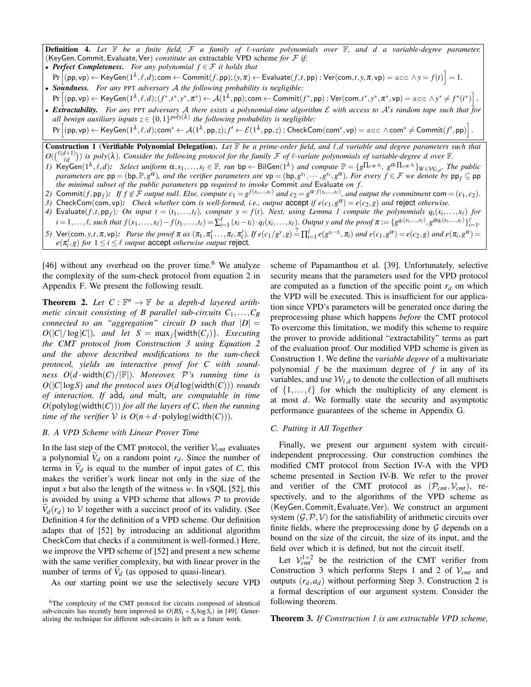Definition 4. *Let* F *be a finite field,* F *a family of* `*-variate polynomials over* F*, and d a variable-degree parameter.* (KeyGen,Commit,Evaluate,Ver) *constitute an* extractable VPD scheme *for* F *if:*

- *Perfect Completeness. For any polynomial f* ∈ F *it holds that*
- $\Pr\Big[\mathsf{(pp,vp)} \leftarrow \mathsf{KeyGen}(1^\lambda,\ell,d); \mathsf{com} \leftarrow \mathsf{Commit}(f,\mathsf{pp});(y,\pi) \leftarrow \mathsf{Evaluate}(f,t,\mathsf{pp}): \mathsf{Ver}(\mathsf{com},t,y,\pi,\mathsf{vp}) = \mathsf{acc}\,\wedge y = f(t)\Big] = 1.$ • *Soundness. For any* PPT *adversary* A *the following probability is negligible:*
- $\Pr\Big[(\mathsf{pp},\mathsf{vp}) \leftarrow \mathsf{KeyGen}(1^\lambda,\ell,d);(f^*,t^*,y^*,\pi^*) \leftarrow \mathcal{A}(1^\lambda,\mathsf{pp});\mathsf{com} \leftarrow \mathsf{Commit}(f^*,\mathsf{pp}): \mathsf{Ver}(\mathsf{com},t^*,y^*,\pi^*,\mathsf{vp}) = \mathsf{acc}\ \wedge y^* \neq f^*(t^*)\Big]\,.$ **• Extractability.** For any PPT adversary A there exists a polynomial-time algorithm  $\mathcal E$  with access to  $\mathcal A$ 's random tape such that for

all benign auxiliary inputs  $z \in \{0,1\}^{poly(\lambda)}$  the following probability is negligible:

 $\Pr\Big[\mathsf{(pp,vp)} \leftarrow \mathsf{KeyGen}(1^\lambda,\ell,d); \mathsf{com}^* \leftarrow \mathcal{A}(1^\lambda,\mathsf{pp},z); f' \leftarrow \mathcal{E}(1^\lambda,\mathsf{pp},z) : \mathsf{CheckCom}(\mathsf{com}^*,\mathsf{vp}) = \texttt{acc} \; \wedge \mathsf{com}^* \neq \mathsf{Commit}(f',\mathsf{pp}) \Big] \,.$ 

Construction 1 (Verifiable Polynomial Delegation). *Let* F *be a prime-order field, and* `,*d variable and degree parameters such that*  $O(\binom{\ell(d+1)}{\ell d})$  is poly( $\lambda$ ). Consider the following protocol for the family  $\mathcal F$  of  $\ell$ -variate polynomials of variable-degree d over  $\mathbb F$ .

- *I*) KeyGen( $1^{\lambda}, \ell, d$ ): Select uniform  $\alpha, s_1, ..., s_\ell \in \mathbb{F}$ , run bp  $\leftarrow$  BilGen( $1^{\lambda}$ ) and compute  $\mathbb{P} = \{g^{\prod_{i \in W} s_i}, g^{\alpha \cdot \prod_{i \in W} s_i}\}$  w $\in \mathcal{W}_{\ell, d}$ . The public *parameters are*  $pp = (bp, \mathbb{P}, g^{\alpha})$ *, and the verifier parameters are*  $vp = (bp, g^{s_1}, \dots, g^{s_\ell}, g^{\alpha})$ *. For every*  $f \in \mathcal{F}$  *we denote by*  $pp_f \subseteq pp$ *the minimal subset of the public parameters* pp *required to invoke* Commit *and* Evaluate *on f .*
- 2) Commit $(f, \mathsf{pp}_f)$ : If  $f \notin \mathcal{F}$  output null. Else, compute  $c_1 = g^{f(s_i, \ldots, s_\ell)}$  and  $c_2 = g^{\alpha \cdot f(s_i, \ldots, s_\ell)}$ , and output the commitment com =  $(c_1, c_2)$ .
- *3)* CheckCom(com,vp): Check whether com *is well-formed, i.e., output* accept *if*  $e(c_1, g^{\alpha}) = e(c_2, g)$  *and* reject *otherwise.* 4) Evaluate $(f, t, \mathsf{pp}_f)$ : On input  $t = (t_1, \ldots, t_\ell)$ , compute  $y = f(t)$ . Next, using Lemma 1 compute the polynomials  $q_i(x_i, \ldots, x_\ell)$  for
- $i=1,\ldots,\ell$ , such that  $f(x_1,\ldots,x_\ell)-f(t_1,\ldots,t_\ell)=\sum_{i=1}^\ell (x_i-t_i)\cdot q_i(x_i,\ldots,x_\ell)$ . Output y and the proof  $\pi:=\{g^{q_i(s_1,\ldots,s_\ell)},g^{\alpha q_i(s_1,\ldots,s_\ell)}\}_{i=1}^\ell$ .
- 5) Ver(com, y,t,  $\pi$ , vp): Parse the proof  $\pi$  as  $(\pi_1, \pi'_1, \ldots, \pi_\ell, \pi'_\ell)$ . If  $e(c_1/g^y, g) \stackrel{?}{=} \prod_{i=1}^\ell e(g^{s_i-t_i}, \pi_i)$  and  $e(c_1, g^\alpha) = e(c_2, g)$  and  $e(\pi_i, g^\alpha) =$  $e(\pi_i', g)$  *for*  $1 \leq i \leq \ell$  *output* accept *otherwise output* reject.

[46] without any overhead on the prover time.<sup>6</sup> We analyze the complexity of the sum-check protocol from equation 2 in Appendix F. We present the following result.

**Theorem 2.** Let  $C : \mathbb{F}^n \to \mathbb{F}$  be a depth-d layered arith*metic circuit consisting of B parallel sub-circuits*  $C_1, \ldots, C_B$ *connected to an "aggregation" circuit D such that*  $|D| =$  $O(|C|/\log |C|)$ *, and let*  $S = \max_j \{ \text{width}(C_j) \}$ *. Executing the CMT protocol from Construction 3 using Equation 2 and the above described modifications to the sum-check protocol, yields an interactive proof for C with soundness*  $O(d \cdot \text{width}(C)/|\mathbb{F}|)$ *. Moreover,*  $\mathcal{P}'$ *s* running time is  $O(|C|\log S)$  *and the protocol uses*  $O(d\log(\text{width}(C)))$  *rounds of interaction. If* ˜ add*<sup>i</sup> and* mult ˜ *<sup>i</sup> are computable in time*  $O(polylog(width(C)))$  *for all the layers of C, then the running time of the verifier*  $V$  *is*  $O(n+d \cdot \text{polylog}(\text{width}(C)))$ *.* 

#### *B. A VPD Scheme with Linear Prover Time*

In the last step of the CMT protocol, the verifier  $V_{cmt}$  evaluates a polynomial  $V_d$  on a random point  $r_d$ . Since the number of terms in  $V_d$  is equal to the number of input gates of *C*, this makes the verifier's work linear not only in the size of the input *x* but also the length of the witness *w*. In vSQL [52], this is avoided by using a VPD scheme that allows  $P$  to provide  $V_d(r_d)$  to V together with a succinct proof of its validity. (See Definition 4 for the definition of a VPD scheme. Our definition adapts that of [52] by introducing an additional algorithm CheckCom that checks if a commitment is well-formed.) Here, we improve the VPD scheme of [52] and present a new scheme with the same verifier complexity, but with linear prover in the number of terms of  $V_d$  (as opposed to quasi-linear).

As our starting point we use the selectively secure VPD

scheme of Papamanthou et al. [39]. Unfortunately, selective security means that the parameters used for the VPD protocol are computed as a function of the specific point  $r_d$  on which the VPD will be executed. This is insufficient for our application since VPD's parameters will be generated once during the preprocessing phase which happens *before* the CMT protocol To overcome this limitation, we modify this scheme to require the prover to provide additional "extractability" terms as part of the evaluation proof. Our modified VPD scheme is given as Construction 1. We define the *variable degree* of a multivariate polynomial *f* be the maximum degree of *f* in any of its variables, and use  $W_{\ell,d}$  to denote the collection of all multisets of  $\{1, \ldots, \ell\}$  for which the multiplicity of any element is at most *d*. We formally state the security and asymptotic performance guarantees of the scheme in Appendix G.

## *C. Putting it All Together*

Finally, we present our argument system with circuitindependent preprocessing. Our construction combines the modified CMT protocol from Section IV-A with the VPD scheme presented in Section IV-B. We refer to the prover and verifier of the CMT protocol as  $(\mathcal{P}_{cmt}, \mathcal{V}_{cmt})$ , respectively, and to the algorithms of the VPD scheme as (KeyGen,Commit,Evaluate,Ver). We construct an argument system  $(\mathcal{G}, \mathcal{P}, \mathcal{V})$  for the satisfiability of arithmetic circuits over finite fields, where the preprocessing done by  $G$  depends on a bound on the size of the circuit, the size of its input, and the field over which it is defined, but not the circuit itself.

Let  $V_{cm}^{1+2}$  be the restriction of the CMT verifier from Construction 3 which performs Steps 1 and 2 of V*cmt* and outputs  $(r_d, a_d)$  without performing Step 3. Construction 2 is a formal description of our argument system. Consider the following theorem.

Theorem 3. *If Construction 1 is am extractable VPD scheme,*

<sup>&</sup>lt;sup>6</sup>The complexity of the CMT protocol for circuits composed of identical sub-circuits has recently been improved to  $O(BS_i + S_i \log S_i)$  in [49]. Generalizing the technique for different sub-circuits is left as a future work.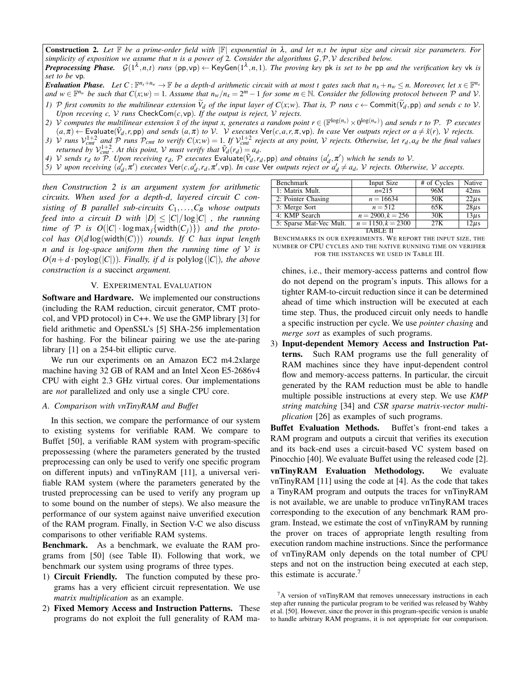Construction 2. *Let* <sup>F</sup> *be a prime-order field with* <sup>|</sup>F<sup>|</sup> *exponential in* <sup>λ</sup>*, and let n*,*t be input size and circuit size parameters. For simplicity of exposition we assume that n is a power of* 2*. Consider the algorithms* G,P,V *described below. Preprocessing Phase.*  $G(1^{\lambda},n,t)$  *runs* (pp,vp)  $\leftarrow$  KeyGen( $1^{\lambda},n,1$ ). The proving key pk is set to be pp and the verification key vk is *set to be* vp*.*

**Evaluation Phase.** Let  $C: \mathbb{F}^{n_x+n_w} \to \mathbb{F}$  be a depth-d arithmetic circuit with at most t gates such that  $n_x+n_w \le n$ . Moreover, let  $x \in \mathbb{F}^{n_x}$ and  $w \in \mathbb{F}^{n_w}$  be such that  $C(x; w) = 1$ . Assume that  $n_w/n_x = 2^m - 1$  for some  $m \in \mathbb{N}$ . Consider the following protocol between  $\mathcal P$  and  $\mathcal V$ .

- 1) P first commits to the multilinear extension  $\widetilde{V}_d$  of the input layer of  $C(x;w)$ . That is, P runs  $c \leftarrow \text{Commit}(\widetilde{V}_d, \text{pp})$  and sends c to V. *Upon receving c, V runs*  $\text{CheckCom}(c, \text{vp})$ *. If the output is reject, V rejects.*
- *2) V computes the multilinear extension*  $\tilde{x}$  *of the input x, generates a random point*  $r \in (\mathbb{F}^{\log(n_x)} \times 0^{\log(n_w)})$  *and sends r* to P. P *executes*  $(a,\pi) \leftarrow$  Evaluate $(\tilde{V}_d,r,pp)$  and sends  $(a,\pi)$  to  $V$ . V executes  $\text{Ver}(c,a,r,\pi,vp)$ . In case  $\text{Ver}$  outputs reject or  $a \neq \tilde{x}(r)$ ,  $V$  rejects.
- 3) V runs  $V_{cm}^{1+2}$  and P runs  $P_{cmt}$  to verify  $C(x; w) = 1$ . If  $V_{cmt}^{1+2}$  rejects at any point, V rejects. Otherwise, let  $r_d$ ,  $a_d$  be the final values *returned by*  $V_{cm}^{1+2}$ *. At this point, V must verify that*  $\tilde{V}_d(r_d) = a_d$ *.*
- 4) V sends  $r_d$  to  $\overline{P}$ . Upon receiving  $r_d$ ,  $\overline{P}$  executes Evaluate( $\tilde{V}_d$ ,  $r_d$ , pp) and obtains ( $a'_d$ ,  $\pi'$ ) which he sends to V.
- 5) V upon receiving  $(a'_d, \pi')$  executes  $\text{Ver}(c, a'_d, r_d, \pi', \text{vp})$ . In case  $\text{Ver}$  outputs reject or  $a'_d \neq a_d$ , V rejects. Otherwise, V accepts.

*then Construction 2 is an argument system for arithmetic circuits. When used for a depth-d, layered circuit C consisting of B parallel sub-circuits C*1,...,*C<sup>B</sup> whose outputs feed into a circuit D with*  $|D| \leq |C|/\log|C|$ , the running *time of*  $P$  *is*  $O(|C| \cdot \log \max_i \{ \text{width}(C_i) \})$  *and the protocol has O*(*d* log(width(*C*))) *rounds. If C has input length n and is log-space uniform then the running time of* V *is*  $O(n+d \cdot \text{polylog}(|C|))$ *. Finally, if d is* polylog(|*C*|)*, the above construction is a* succinct *argument.*

## V. EXPERIMENTAL EVALUATION

Software and Hardware. We implemented our constructions (including the RAM reduction, circuit generator, CMT protocol, and VPD protocol) in C++. We use the GMP library [3] for field arithmetic and OpenSSL's [5] SHA-256 implementation for hashing. For the bilinear pairing we use the ate-paring library [1] on a 254-bit elliptic curve.

We run our experiments on an Amazon EC2 m4.2xlarge machine having 32 GB of RAM and an Intel Xeon E5-2686v4 CPU with eight 2.3 GHz virtual cores. Our implementations are *not* parallelized and only use a single CPU core.

## *A. Comparison with vnTinyRAM and Buffet*

In this section, we compare the performance of our system to existing systems for verifiable RAM. We compare to Buffet [50], a verifiable RAM system with program-specific prepossessing (where the parameters generated by the trusted preprocessing can only be used to verify one specific program on different inputs) and vnTinyRAM [11], a universal verifiable RAM system (where the parameters generated by the trusted preprocessing can be used to verify any program up to some bound on the number of steps). We also measure the performance of our system against naive unverified execution of the RAM program. Finally, in Section V-C we also discuss comparisons to other verifiable RAM systems.

Benchmark. As a benchmark, we evaluate the RAM programs from [50] (see Table II). Following that work, we benchmark our system using programs of three types.

- 1) Circuit Friendly. The function computed by these programs has a very efficient circuit representation. We use *matrix multiplication* as an example.
- 2) Fixed Memory Access and Instruction Patterns. These programs do not exploit the full generality of RAM ma-

| <b>Benchmark</b>        | Input Size           | # of Cycles | <b>Native</b> |
|-------------------------|----------------------|-------------|---------------|
| 1: Matrix Mult.         | $n=215$              | 96M         | 42ms          |
| 2: Pointer Chasing      | $n = 16634$          | 50K         | $22\mu s$     |
| 3: Merge Sort           | $n = 512$            | 65K         | $28\mu s$     |
| 4: KMP Search           | $n = 2900, k = 256$  | 30K         | $13\mu s$     |
| 5: Sparse Mat-Vec Mult. | $n = 1150, k = 2300$ | 27K         | $12\mu s$     |
|                         | TARLE                |             |               |

| BENCHMARKS IN OUR EXPERIMENTS. WE REPORT THE INPUT SIZE, THE |  |                                         |  |  |  |
|--------------------------------------------------------------|--|-----------------------------------------|--|--|--|
| number of CPU cycles and the native running time on verifier |  |                                         |  |  |  |
|                                                              |  | FOR THE INSTANCES WE USED IN TABLE III. |  |  |  |

chines, i.e., their memory-access patterns and control flow do not depend on the program's inputs. This allows for a tighter RAM-to-circuit reduction since it can be determined ahead of time which instruction will be executed at each time step. Thus, the produced circuit only needs to handle a specific instruction per cycle. We use *pointer chasing* and *merge sort* as examples of such programs.

3) Input-dependent Memory Access and Instruction Patterns. Such RAM programs use the full generality of RAM machines since they have input-dependent control flow and memory-access patterns. In particular, the circuit generated by the RAM reduction must be able to handle multiple possible instructions at every step. We use *KMP string matching* [34] and *CSR sparse matrix-vector multiplication* [26] as examples of such programs.

Buffet Evaluation Methods. Buffet's front-end takes a RAM program and outputs a circuit that verifies its execution and its back-end uses a circuit-based VC system based on Pinocchio [40]. We evaluate Buffet using the released code [2]. vnTinyRAM Evaluation Methodology. We evaluate vnTinyRAM [11] using the code at [4]. As the code that takes a TinyRAM program and outputs the traces for vnTinyRAM is not available, we are unable to produce vnTinyRAM traces corresponding to the execution of any benchmark RAM program. Instead, we estimate the cost of vnTinyRAM by running the prover on traces of appropriate length resulting from execution random machine instructions. Since the performance of vnTinyRAM only depends on the total number of CPU steps and not on the instruction being executed at each step, this estimate is accurate. $\prime$ 

 ${}^{7}$ A version of vnTinyRAM that removes unnecessary instructions in each step after running the particular program to be verified was released by Wahby et al. [50]. However, since the prover in this program-specific version is unable to handle arbitrary RAM programs, it is not appropriate for our comparison.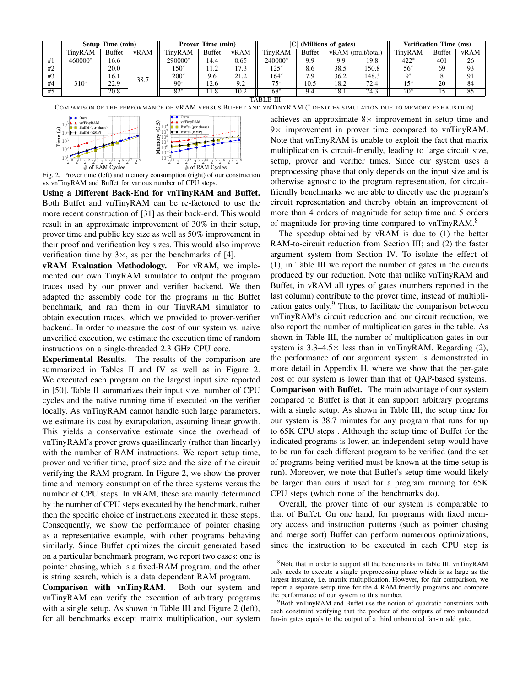|                 |         | <b>Setup Time (min)</b> |      |              | (Millions of gates)<br><b>Verification Time (ms)</b> |      | <b>Prover Time (min)</b> |               |      |              |         |               |      |
|-----------------|---------|-------------------------|------|--------------|------------------------------------------------------|------|--------------------------|---------------|------|--------------|---------|---------------|------|
|                 | TinvRAM | <b>Buffet</b>           | vRAM | TinvRAM      | <b>Buffet</b>                                        | vRAM | TinvRAM                  | <b>Buffet</b> | vRAM | (mult/total) | TinvRAM | <b>Buffet</b> | vRAM |
| #1              | 460000* | 16.6                    |      | 290000*      | 14.4                                                 | 0.65 | 240000*                  | 9.9           | 9.9  | 19.8         | 422*    | 401           | 26   |
| #2              |         | 20.0                    |      | 150*         |                                                      | 17.3 | $125*$                   | 8.6           | 38.5 | 150.8        | $56*$   | 69            | 93   |
| #3              |         | 16.1                    | 38.7 | $200*$       | 9.6                                                  | 21.2 | 164*                     | 7.9           | 36.2 | 148.3        |         |               |      |
| #4              | $310*$  | 22.9                    |      | $90^{\circ}$ | 12.6                                                 | 9.2  | $75*$                    | 10.5          | 18.2 | 72.4         | ∣ <*    | 20            | 84   |
| $\overline{4}5$ |         | 20.8                    |      | $82^*$       | 11.8                                                 | 10.2 | $68*$                    | 9.4           | 18.1 | 74.3         | $20*$   |               |      |

TABLE III

COMPARISON OF THE PERFORMANCE OF VRAM VERSUS BUFFET AND VNTINYRAM (∗ DENOTES SIMULATION DUE TO MEMORY EXHAUSTION).



Fig. 2. Prover time (left) and memory consumption (right) of our construction vs vnTinyRAM and Buffet for various number of CPU steps.

Using a Different Back-End for vnTinyRAM and Buffet. Both Buffet and vnTinyRAM can be re-factored to use the more recent construction of [31] as their back-end. This would result in an approximate improvement of 30% in their setup, prover time and public key size as well as 50% improvement in their proof and verification key sizes. This would also improve verification time by  $3\times$ , as per the benchmarks of [4].

vRAM Evaluation Methodology. For vRAM, we implemented our own TinyRAM simulator to output the program traces used by our prover and verifier backend. We then adapted the assembly code for the programs in the Buffet benchmark, and ran them in our TinyRAM simulator to obtain execution traces, which we provided to prover-verifier backend. In order to measure the cost of our system vs. naive unverified execution, we estimate the execution time of random instructions on a single-threaded 2.3 GHz CPU core.

Experimental Results. The results of the comparison are summarized in Tables II and IV as well as in Figure 2. We executed each program on the largest input size reported in [50]. Table II summarizes their input size, number of CPU cycles and the native running time if executed on the verifier locally. As vnTinyRAM cannot handle such large parameters, we estimate its cost by extrapolation, assuming linear growth. This yields a conservative estimate since the overhead of vnTinyRAM's prover grows quasilinearly (rather than linearly) with the number of RAM instructions. We report setup time, prover and verifier time, proof size and the size of the circuit verifying the RAM program. In Figure 2, we show the prover time and memory consumption of the three systems versus the number of CPU steps. In vRAM, these are mainly determined by the number of CPU steps executed by the benchmark, rather then the specific choice of instructions executed in these steps. Consequently, we show the performance of pointer chasing as a representative example, with other programs behaving similarly. Since Buffet optimizes the circuit generated based on a particular benchmark program, we report two cases: one is pointer chasing, which is a fixed-RAM program, and the other is string search, which is a data dependent RAM program.

Comparison with vnTinyRAM. Both our system and vnTinyRAM can verify the execution of arbitrary programs with a single setup. As shown in Table III and Figure 2 (left), for all benchmarks except matrix multiplication, our system

achieves an approximate  $8 \times$  improvement in setup time and  $9\times$  improvement in prover time compared to vnTinyRAM. Note that vnTinyRAM is unable to exploit the fact that matrix multiplication is circuit-friendly, leading to large circuit size, setup, prover and verifier times. Since our system uses a preprocessing phase that only depends on the input size and is otherwise agnostic to the program representation, for circuitfriendly benchmarks we are able to directly use the program's circuit representation and thereby obtain an improvement of more than 4 orders of magnitude for setup time and 5 orders of magnitude for proving time compared to vnTinyRAM.<sup>8</sup>

The speedup obtained by vRAM is due to (1) the better RAM-to-circuit reduction from Section III; and (2) the faster argument system from Section IV. To isolate the effect of (1), in Table III we report the number of gates in the circuits produced by our reduction. Note that unlike vnTinyRAM and Buffet, in vRAM all types of gates (numbers reported in the last column) contribute to the prover time, instead of multiplication gates only. $9$  Thus, to facilitate the comparison between vnTinyRAM's circuit reduction and our circuit reduction, we also report the number of multiplication gates in the table. As shown in Table III, the number of multiplication gates in our system is  $3.3-4.5\times$  less than in vnTinyRAM. Regarding (2), the performance of our argument system is demonstrated in more detail in Appendix H, where we show that the per-gate cost of our system is lower than that of QAP-based systems. Comparison with Buffet. The main advantage of our system compared to Buffet is that it can support arbitrary programs with a single setup. As shown in Table III, the setup time for our system is 38.7 minutes for any program that runs for up to 65K CPU steps . Although the setup time of Buffet for the indicated programs is lower, an independent setup would have to be run for each different program to be verified (and the set of programs being verified must be known at the time setup is run). Moreover, we note that Buffet's setup time would likely be larger than ours if used for a program running for 65K CPU steps (which none of the benchmarks do).

Overall, the prover time of our system is comparable to that of Buffet. On one hand, for programs with fixed memory access and instruction patterns (such as pointer chasing and merge sort) Buffet can perform numerous optimizations, since the instruction to be executed in each CPU step is

<sup>8</sup>Note that in order to support all the benchmarks in Table III, vnTinyRAM only needs to execute a single preprocessing phase which is as large as the largest instance, i.e. matrix multiplication. However, for fair comparison, we report a separate setup time for the 4 RAM-friendly programs and compare the performance of our system to this number.

<sup>9</sup>Both vnTinyRAM and Buffet use the notion of quadratic constraints with each constraint verifying that the product of the outputs of two unbounded fan-in gates equals to the output of a third unbounded fan-in add gate.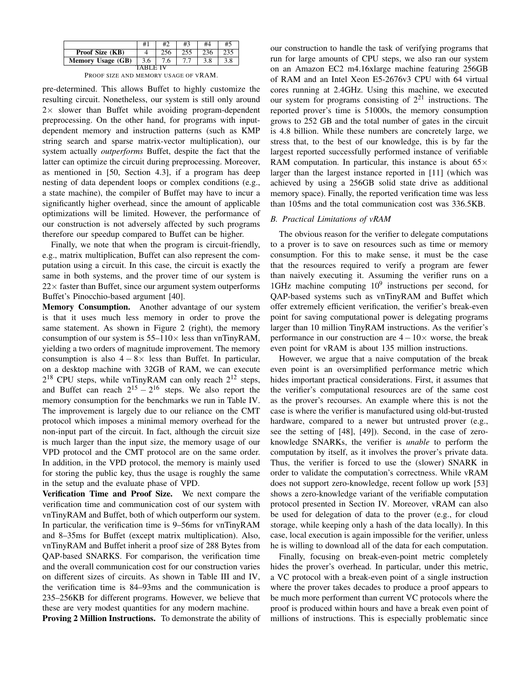|                        |          | #2  | #3 | #4  |     |
|------------------------|----------|-----|----|-----|-----|
| <b>Proof Size (KB)</b> |          |     |    | 236 | 235 |
| Memory Usage (GB)      | 3.6      | 7.6 |    | 3.8 |     |
|                        | IARI FIV |     |    |     |     |

PROOF SIZE AND MEMORY USAGE OF VRAM.

pre-determined. This allows Buffet to highly customize the resulting circuit. Nonetheless, our system is still only around  $2 \times$  slower than Buffet while avoiding program-dependent preprocessing. On the other hand, for programs with inputdependent memory and instruction patterns (such as KMP string search and sparse matrix-vector multiplication), our system actually *outperforms* Buffet, despite the fact that the latter can optimize the circuit during preprocessing. Moreover, as mentioned in [50, Section 4.3], if a program has deep nesting of data dependent loops or complex conditions (e.g., a state machine), the compiler of Buffet may have to incur a significantly higher overhead, since the amount of applicable optimizations will be limited. However, the performance of our construction is not adversely affected by such programs therefore our speedup compared to Buffet can be higher.

Finally, we note that when the program is circuit-friendly, e.g., matrix multiplication, Buffet can also represent the computation using a circuit. In this case, the circuit is exactly the same in both systems, and the prover time of our system is  $22\times$  faster than Buffet, since our argument system outperforms Buffet's Pinocchio-based argument [40].

Memory Consumption. Another advantage of our system is that it uses much less memory in order to prove the same statement. As shown in Figure 2 (right), the memory consumption of our system is  $55-110\times$  less than vnTinyRAM, yielding a two orders of magnitude improvement. The memory consumption is also  $4 - 8 \times$  less than Buffet. In particular, on a desktop machine with 32GB of RAM, we can execute  $2^{18}$  CPU steps, while vnTinyRAM can only reach  $2^{12}$  steps, and Buffet can reach  $2^{15} - 2^{16}$  steps. We also report the memory consumption for the benchmarks we run in Table IV. The improvement is largely due to our reliance on the CMT protocol which imposes a minimal memory overhead for the non-input part of the circuit. In fact, although the circuit size is much larger than the input size, the memory usage of our VPD protocol and the CMT protocol are on the same order. In addition, in the VPD protocol, the memory is mainly used for storing the public key, thus the usage is roughly the same in the setup and the evaluate phase of VPD.

Verification Time and Proof Size. We next compare the verification time and communication cost of our system with vnTinyRAM and Buffet, both of which outperform our system. In particular, the verification time is 9–56ms for vnTinyRAM and 8–35ms for Buffet (except matrix multiplication). Also, vnTinyRAM and Buffet inherit a proof size of 288 Bytes from QAP-based SNARKS. For comparison, the verification time and the overall communication cost for our construction varies on different sizes of circuits. As shown in Table III and IV, the verification time is 84–93ms and the communication is 235–256KB for different programs. However, we believe that these are very modest quantities for any modern machine.

Proving 2 Million Instructions. To demonstrate the ability of

our construction to handle the task of verifying programs that run for large amounts of CPU steps, we also ran our system on an Amazon EC2 m4.16xlarge machine featuring 256GB of RAM and an Intel Xeon E5-2676v3 CPU with 64 virtual cores running at 2.4GHz. Using this machine, we executed our system for programs consisting of  $2^{21}$  instructions. The reported prover's time is 51000s, the memory consumption grows to 252 GB and the total number of gates in the circuit is 4.8 billion. While these numbers are concretely large, we stress that, to the best of our knowledge, this is by far the largest reported successfully performed instance of verifiable RAM computation. In particular, this instance is about  $65\times$ larger than the largest instance reported in [11] (which was achieved by using a 256GB solid state drive as additional memory space). Finally, the reported verification time was less than 105ms and the total communication cost was 336.5KB.

## *B. Practical Limitations of vRAM*

The obvious reason for the verifier to delegate computations to a prover is to save on resources such as time or memory consumption. For this to make sense, it must be the case that the resources required to verify a program are fewer than naively executing it. Assuming the verifier runs on a 1GHz machine computing  $10^9$  instructions per second, for QAP-based systems such as vnTinyRAM and Buffet which offer extremely efficient verification, the verifier's break-even point for saving computational power is delegating programs larger than 10 million TinyRAM instructions. As the verifier's performance in our construction are  $4-10\times$  worse, the break even point for vRAM is about 135 million instructions.

However, we argue that a naive computation of the break even point is an oversimplified performance metric which hides important practical considerations. First, it assumes that the verifier's computational resources are of the same cost as the prover's recourses. An example where this is not the case is where the verifier is manufactured using old-but-trusted hardware, compared to a newer but untrusted prover (e.g., see the setting of [48], [49]). Second, in the case of zeroknowledge SNARKs, the verifier is *unable* to perform the computation by itself, as it involves the prover's private data. Thus, the verifier is forced to use the (slower) SNARK in order to validate the computation's correctness. While vRAM does not support zero-knowledge, recent follow up work [53] shows a zero-knowledge variant of the verifiable computation protocol presented in Section IV. Moreover, vRAM can also be used for delegation of data to the prover (e.g., for cloud storage, while keeping only a hash of the data locally). In this case, local execution is again impossible for the verifier, unless he is willing to download all of the data for each computation.

Finally, focusing on break-even-point metric completely hides the prover's overhead. In particular, under this metric, a VC protocol with a break-even point of a single instruction where the prover takes decades to produce a proof appears to be much more performent than current VC protocols where the proof is produced within hours and have a break even point of millions of instructions. This is especially problematic since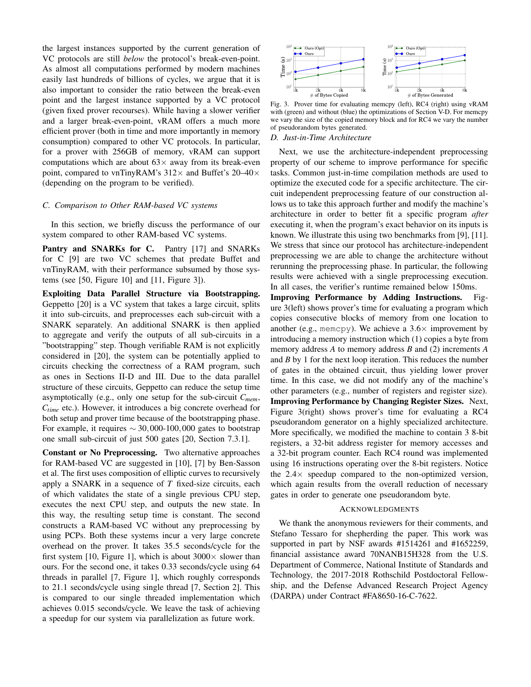the largest instances supported by the current generation of VC protocols are still *below* the protocol's break-even-point. As almost all computations performed by modern machines easily last hundreds of billions of cycles, we argue that it is also important to consider the ratio between the break-even point and the largest instance supported by a VC protocol (given fixed prover recourses). While having a slower verifier and a larger break-even-point, vRAM offers a much more efficient prover (both in time and more importantly in memory consumption) compared to other VC protocols. In particular, for a prover with 256GB of memory, vRAM can support computations which are about  $63\times$  away from its break-even point, compared to vnTinyRAM's  $312\times$  and Buffet's  $20-40\times$ (depending on the program to be verified).

#### *C. Comparison to Other RAM-based VC systems*

In this section, we briefly discuss the performance of our system compared to other RAM-based VC systems.

Pantry and SNARKs for C. Pantry [17] and SNARKs for C [9] are two VC schemes that predate Buffet and vnTinyRAM, with their performance subsumed by those systems (see [50, Figure 10] and [11, Figure 3]).

Exploiting Data Parallel Structure via Bootstrapping. Geppetto [20] is a VC system that takes a large circuit, splits it into sub-circuits, and preprocesses each sub-circuit with a SNARK separately. An additional SNARK is then applied to aggregate and verify the outputs of all sub-circuits in a "bootstrapping" step. Though verifiable RAM is not explicitly considered in [20], the system can be potentially applied to circuits checking the correctness of a RAM program, such as ones in Sections II-D and III. Due to the data parallel structure of these circuits, Geppetto can reduce the setup time asymptotically (e.g., only one setup for the sub-circuit *Cmem*, *Ctime* etc.). However, it introduces a big concrete overhead for both setup and prover time because of the bootstrapping phase. For example, it requires  $\sim$  30,000-100,000 gates to bootstrap one small sub-circuit of just 500 gates [20, Section 7.3.1].

Constant or No Preprocessing. Two alternative approaches for RAM-based VC are suggested in [10], [7] by Ben-Sasson et al. The first uses composition of elliptic curves to recursively apply a SNARK in a sequence of *T* fixed-size circuits, each of which validates the state of a single previous CPU step, executes the next CPU step, and outputs the new state. In this way, the resulting setup time is constant. The second constructs a RAM-based VC without any preprocessing by using PCPs. Both these systems incur a very large concrete overhead on the prover. It takes 35.5 seconds/cycle for the first system [10, Figure 1], which is about  $3000 \times$  slower than ours. For the second one, it takes 0.33 seconds/cycle using 64 threads in parallel [7, Figure 1], which roughly corresponds to 21.1 seconds/cycle using single thread [7, Section 2]. This is compared to our single threaded implementation which achieves 0.015 seconds/cycle. We leave the task of achieving a speedup for our system via parallelization as future work.



Fig. 3. Prover time for evaluating memcpy (left), RC4 (right) using vRAM with (green) and without (blue) the optimizations of Section V-D. For memcpy we vary the size of the copied memory block and for RC4 we vary the number of pseudorandom bytes generated.

## *D. Just-in-Time Architecture*

Next, we use the architecture-independent preprocessing property of our scheme to improve performance for specific tasks. Common just-in-time compilation methods are used to optimize the executed code for a specific architecture. The circuit independent preprocessing feature of our construction allows us to take this approach further and modify the machine's architecture in order to better fit a specific program *after* executing it, when the program's exact behavior on its inputs is known. We illustrate this using two benchmarks from [9], [11]. We stress that since our protocol has architecture-independent preprocessing we are able to change the architecture without rerunning the preprocessing phase. In particular, the following results were achieved with a single preprocessing execution. In all cases, the verifier's runtime remained below 150ms.

Improving Performance by Adding Instructions. Figure 3(left) shows prover's time for evaluating a program which copies consecutive blocks of memory from one location to another (e.g., memcpy). We achieve a  $3.6\times$  improvement by introducing a memory instruction which (1) copies a byte from memory address *A* to memory address *B* and (2) increments *A* and *B* by 1 for the next loop iteration. This reduces the number of gates in the obtained circuit, thus yielding lower prover time. In this case, we did not modify any of the machine's other parameters (e.g., number of registers and register size). Improving Performance by Changing Register Sizes. Next, Figure 3(right) shows prover's time for evaluating a RC4 pseudorandom generator on a highly specialized architecture. More specifically, we modified the machine to contain 3 8-bit registers, a 32-bit address register for memory accesses and a 32-bit program counter. Each RC4 round was implemented using 16 instructions operating over the 8-bit registers. Notice the  $2.4\times$  speedup compared to the non-optimized version, which again results from the overall reduction of necessary gates in order to generate one pseudorandom byte.

#### ACKNOWLEDGMENTS

We thank the anonymous reviewers for their comments, and Stefano Tessaro for shepherding the paper. This work was supported in part by NSF awards #1514261 and #1652259, financial assistance award 70NANB15H328 from the U.S. Department of Commerce, National Institute of Standards and Technology, the 2017-2018 Rothschild Postdoctoral Fellowship, and the Defense Advanced Research Project Agency (DARPA) under Contract #FA8650-16-C-7622.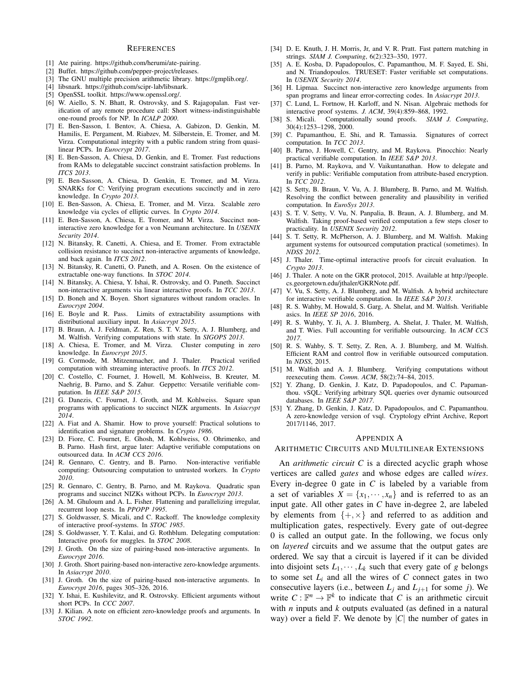#### **REFERENCES**

- [1] Ate pairing. https://github.com/herumi/ate-pairing.
- [2] Buffet. https://github.com/pepper-project/releases.
- [3] The GNU multiple precision arithmetic library. https://gmplib.org/.
- [4] libsnark. https://github.com/scipr-lab/libsnark.
- [5] OpenSSL toolkit. https://www.openssl.org/.
- [6] W. Aiello, S. N. Bhatt, R. Ostrovsky, and S. Rajagopalan. Fast verification of any remote procedure call: Short witness-indistinguishable one-round proofs for NP. In *ICALP 2000*.
- [7] E. Ben-Sasson, I. Bentov, A. Chiesa, A. Gabizon, D. Genkin, M. Hamilis, E. Pergament, M. Riabzev, M. Silberstein, E. Tromer, and M. Virza. Computational integrity with a public random string from quasilinear PCPs. In *Eurocrypt 2017*.
- [8] E. Ben-Sasson, A. Chiesa, D. Genkin, and E. Tromer. Fast reductions from RAMs to delegatable succinct constraint satisfaction problems. In *ITCS 2013*.
- [9] E. Ben-Sasson, A. Chiesa, D. Genkin, E. Tromer, and M. Virza. SNARKs for C: Verifying program executions succinctly and in zero knowledge. In *Crypto 2013*.
- [10] E. Ben-Sasson, A. Chiesa, E. Tromer, and M. Virza. Scalable zero knowledge via cycles of elliptic curves. In *Crypto 2014*.
- [11] E. Ben-Sasson, A. Chiesa, E. Tromer, and M. Virza. Succinct noninteractive zero knowledge for a von Neumann architecture. In *USENIX Security 2014*.
- [12] N. Bitansky, R. Canetti, A. Chiesa, and E. Tromer. From extractable collision resistance to succinct non-interactive arguments of knowledge, and back again. In *ITCS 2012*.
- [13] N. Bitansky, R. Canetti, O. Paneth, and A. Rosen. On the existence of extractable one-way functions. In *STOC 2014*.
- [14] N. Bitansky, A. Chiesa, Y. Ishai, R. Ostrovsky, and O. Paneth. Succinct non-interactive arguments via linear interactive proofs. In *TCC 2013*.
- [15] D. Boneh and X. Boyen. Short signatures without random oracles. In *Eurocrypt 2004*.
- [16] E. Boyle and R. Pass. Limits of extractability assumptions with distributional auxiliary input. In *Asiacrypt 2015*.
- [17] B. Braun, A. J. Feldman, Z. Ren, S. T. V. Setty, A. J. Blumberg, and M. Walfish. Verifying computations with state. In *SIGOPS 2013*.
- [18] A. Chiesa, E. Tromer, and M. Virza. Cluster computing in zero knowledge. In *Eurocrypt 2015*.
- [19] G. Cormode, M. Mitzenmacher, and J. Thaler. Practical verified computation with streaming interactive proofs. In *ITCS 2012*.
- [20] C. Costello, C. Fournet, J. Howell, M. Kohlweiss, B. Kreuter, M. Naehrig, B. Parno, and S. Zahur. Geppetto: Versatile verifiable computation. In *IEEE S&P 2015*.
- [21] G. Danezis, C. Fournet, J. Groth, and M. Kohlweiss. Square span programs with applications to succinct NIZK arguments. In *Asiacrypt 2014*.
- [22] A. Fiat and A. Shamir. How to prove yourself: Practical solutions to identification and signature problems. In *Crypto 1986*.
- [23] D. Fiore, C. Fournet, E. Ghosh, M. Kohlweiss, O. Ohrimenko, and B. Parno. Hash first, argue later: Adaptive verifiable computations on outsourced data. In *ACM CCS 2016*.
- [24] R. Gennaro, C. Gentry, and B. Parno. Non-interactive verifiable computing: Outsourcing computation to untrusted workers. In *Crypto 2010*.
- [25] R. Gennaro, C. Gentry, B. Parno, and M. Raykova. Quadratic span programs and succinct NIZKs without PCPs. In *Eurocrypt 2013*.
- [26] A. M. Ghuloum and A. L. Fisher. Flattening and parallelizing irregular, recurrent loop nests. In *PPOPP 1995*.
- [27] S. Goldwasser, S. Micali, and C. Rackoff. The knowledge complexity of interactive proof-systems. In *STOC 1985*.
- [28] S. Goldwasser, Y. T. Kalai, and G. Rothblum. Delegating computation: Interactive proofs for muggles. In *STOC 2008*.
- [29] J. Groth. On the size of pairing-based non-interactive arguments. In *Eurocrypt 2016*.
- [30] J. Groth. Short pairing-based non-interactive zero-knowledge arguments. In *Asiacrypt 2010*.
- [31] J. Groth. On the size of pairing-based non-interactive arguments. In *Eurocrypt 2016*, pages 305–326, 2016.
- [32] Y. Ishai, E. Kushilevitz, and R. Ostrovsky. Efficient arguments without short PCPs. In *CCC 2007*.
- [33] J. Kilian. A note on efficient zero-knowledge proofs and arguments. In *STOC 1992*.
- [34] D. E. Knuth, J. H. Morris, Jr, and V. R. Pratt. Fast pattern matching in strings. *SIAM J. Computing*, 6(2):323–350, 1977.
- [35] A. E. Kosba, D. Papadopoulos, C. Papamanthou, M. F. Sayed, E. Shi, and N. Triandopoulos. TRUESET: Faster verifiable set computations. In *USENIX Security 2014*.
- [36] H. Lipmaa. Succinct non-interactive zero knowledge arguments from span programs and linear error-correcting codes. In *Asiacrypt 2013*.
- [37] C. Lund, L. Fortnow, H. Karloff, and N. Nisan. Algebraic methods for interactive proof systems. *J. ACM*, 39(4):859–868, 1992.<br>[38] S. Micali. Computationally sound proofs. *SIAM* J
- Computationally sound proofs. *SIAM J. Computing*, 30(4):1253–1298, 2000.
- [39] C. Papamanthou, E. Shi, and R. Tamassia. Signatures of correct computation. In *TCC 2013*.
- [40] B. Parno, J. Howell, C. Gentry, and M. Raykova. Pinocchio: Nearly practical verifiable computation. In *IEEE S&P 2013*.
- [41] B. Parno, M. Raykova, and V. Vaikuntanathan. How to delegate and verify in public: Verifiable computation from attribute-based encryption. In *TCC 2012*.
- [42] S. Setty, B. Braun, V. Vu, A. J. Blumberg, B. Parno, and M. Walfish. Resolving the conflict between generality and plausibility in verified computation. In *EuroSys 2013*.
- [43] S. T. V. Setty, V. Vu, N. Panpalia, B. Braun, A. J. Blumberg, and M. Walfish. Taking proof-based verified computation a few steps closer to practicality. In *USENIX Security 2012*.
- [44] S. T. Setty, R. McPherson, A. J. Blumberg, and M. Walfish. Making argument systems for outsourced computation practical (sometimes). In *NDSS 2012*.
- [45] J. Thaler. Time-optimal interactive proofs for circuit evaluation. In *Crypto 2013*.
- [46] J. Thaler. A note on the GKR protocol, 2015. Available at http://people. cs.georgetown.edu/jthaler/GKRNote.pdf.
- [47] V. Vu, S. Setty, A. J. Blumberg, and M. Walfish. A hybrid architecture for interactive verifiable computation. In *IEEE S&P 2013*.
- [48] R. S. Wahby, M. Howald, S. Garg, A. Shelat, and M. Walfish. Verifiable asics. In *IEEE SP 2016*, 2016.
- [49] R. S. Wahby, Y. Ji, A. J. Blumberg, A. Shelat, J. Thaler, M. Walfish, and T. Wies. Full accounting for verifiable outsourcing. In *ACM CCS 2017*.
- [50] R. S. Wahby, S. T. Setty, Z. Ren, A. J. Blumberg, and M. Walfish. Efficient RAM and control flow in verifiable outsourced computation. In *NDSS*, 2015.
- [51] M. Walfish and A. J. Blumberg. Verifying computations without reexecuting them. *Comm. ACM*, 58(2):74–84, 2015.
- [52] Y. Zhang, D. Genkin, J. Katz, D. Papadopoulos, and C. Papamanthou. vSQL: Verifying arbitrary SQL queries over dynamic outsourced databases. In *IEEE S&P 2017*.
- [53] Y. Zhang, D. Genkin, J. Katz, D. Papadopoulos, and C. Papamanthou. A zero-knowledge version of vsql. Cryptology ePrint Archive, Report 2017/1146, 2017.

#### APPENDIX A

#### ARITHMETIC CIRCUITS AND MULTILINEAR EXTENSIONS

An *arithmetic circuit C* is a directed acyclic graph whose vertices are called *gates* and whose edges are called *wires*. Every in-degree 0 gate in *C* is labeled by a variable from a set of variables  $X = \{x_1, \dots, x_n\}$  and is referred to as an input gate. All other gates in *C* have in-degree 2, are labeled by elements from  $\{+, \times\}$  and referred to as addition and multiplication gates, respectively. Every gate of out-degree 0 is called an output gate. In the following, we focus only on *layered* circuits and we assume that the output gates are ordered. We say that a circuit is layered if it can be divided into disjoint sets  $L_1, \dots, L_k$  such that every gate of *g* belongs to some set  $L_i$  and all the wires of  $C$  connect gates in two consecutive layers (i.e., between  $L_i$  and  $L_{i+1}$  for some *j*). We write  $C: \mathbb{F}^n \to \mathbb{F}^k$  to indicate that *C* is an arithmetic circuit with *n* inputs and *k* outputs evaluated (as defined in a natural way) over a field  $\mathbb F$ . We denote by  $|C|$  the number of gates in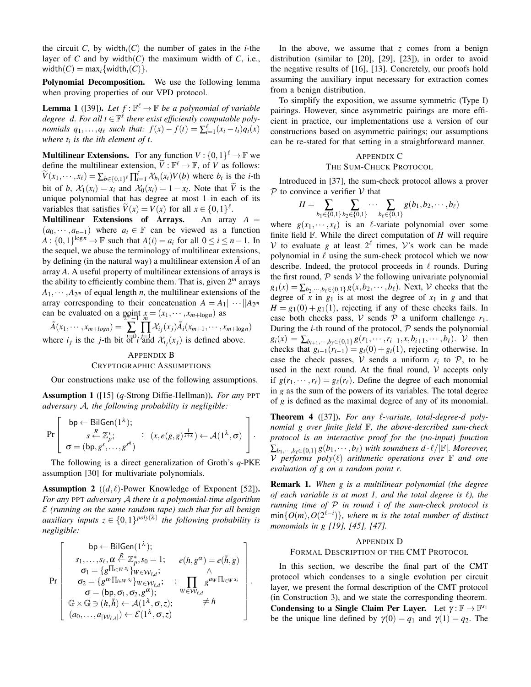the circuit *C*, by width<sub>i</sub> $(C)$  the number of gates in the *i*-the layer of  $C$  and by width $(C)$  the maximum width of  $C$ , i.e., width $(C) = \max_i \{ \text{width}_i(C) \}.$ 

Polynomial Decomposition. We use the following lemma when proving properties of our VPD protocol.

**Lemma 1** ([39]). Let  $f : \mathbb{F}^{\ell} \to \mathbb{F}$  be a polynomial of variable *degree d. For all*  $t \in \mathbb{F}^{\ell}$  there exist efficiently computable poly*nomials*  $q_1, \ldots, q_\ell$  *such that:*  $f(x) - f(t) = \sum_{i=1}^\ell (x_i - t_i) q_i(x)$ *where t<sup>i</sup> is the ith element of t.*

**Multilinear Extensions.** For any function  $V: \{0,1\}^{\ell} \to \mathbb{F}$  we define the multilinear extension,  $\widetilde{V} : \mathbb{F}^{\ell} \to \mathbb{F}$ , of *V* as follows:  $\widetilde{V}(x_1,\dots,x_\ell) = \sum_{b \in \{0,1\}^\ell} \prod_{i=1}^\ell \mathcal{X}_{b_i}(x_i) V(b)$  where  $b_i$  is the *i*-th bit of *b*,  $\mathcal{X}_1(x_i) = x_i$  and  $\mathcal{X}_0(x_i) = 1 - x_i$ . Note that *V* is the unique polynomial that has degree at most 1 in each of its variables that satisfies  $\widetilde{V}(x) = V(x)$  for all  $x \in \{0,1\}^{\ell}$ .

Multilinear Extensions of Arrays. An array *A* =  $(a_0, \dots, a_{n-1})$  where  $a_i \in \mathbb{F}$  can be viewed as a function  $A: \{0,1\}^{\log n} \to \mathbb{F}$  such that  $A(i) = a_i$  for all  $0 \le i \le n-1$ . In the sequel, we abuse the terminology of multilinear extensions, by defining (in the natural way) a multilinear extension  $\tilde{A}$  of an array *A*. A useful property of multilinear extensions of arrays is the ability to efficiently combine them. That is, given 2*<sup>m</sup>* arrays  $A_1, \dots, A_{2^m}$  of equal length *n*, the multilinear extensions of the array corresponding to their concatenation  $A = A_1 || \cdots || A_{2^m}$ can be evaluated on a point  $x = (x_1, \dots, x_{m+\log n})$  as

 $\tilde{A}(x_1,\dots,x_{m+logn}) = \sum_{i=1}^n \prod_i \mathcal{X}_{i_j}(x_j) \tilde{A}_i(x_{m+1},\dots,x_{m+logn})$ where *i<sub>j</sub>* is the *j*-th bit  $\frac{i}{\sigma} \partial_i i \frac{j}{\sigma} d \mathcal{X}_{i_j}(x_j)$  is defined above.

## APPENDIX B CRYPTOGRAPHIC ASSUMPTIONS

Our constructions make use of the following assumptions.

Assumption 1 ([15] (*q*-Strong Diffie-Hellman)). *For any* PPT *adversary* A*, the following probability is negligible:*

$$
\Pr\left[\begin{array}{c} \mathsf{bp} \leftarrow \mathsf{BilGen}(1^{\lambda}); \\ s \stackrel{R}{\leftarrow} \mathbb{Z}_p^*; \\ \sigma = (\mathsf{bp}, g^s, \dots, g^{s^q}) \end{array} : (x, e(g, g)^{\frac{1}{s+x}}) \leftarrow \mathcal{A}(1^{\lambda}, \sigma) \right].
$$

The following is a direct generalization of Groth's *q*-PKE assumption [30] for multivariate polynomials.

**Assumption 2** ( $(d, l)$ -Power Knowledge of Exponent [52]). *For any* PPT *adversary* A *there is a polynomial-time algorithm* E *(running on the same random tape) such that for all benign auxiliary inputs*  $z \in \{0,1\}^{poly(\lambda)}$  *the following probability is negligible:*

$$
\Pr\left[\begin{array}{c} \mathsf{bp} \leftarrow \mathsf{BilGen}(1^{\lambda});\\ s_1, \ldots, s_\ell, \alpha \leftarrow \mathbb{Z}_p^*, s_0 = 1; \quad e(h, g^{\alpha}) = e(\tilde{h}, g) \\ \sigma_1 = \{g^{\prod_{i \in W} s_i}\}_{W \in \mathcal{W}_{\ell, d}}; & \wedge \\ \sigma_2 = \{g^{\alpha \cdot \prod_{i \in W} s_i}\}_{W \in \mathcal{W}_{\ell, d}}; & \vdots \\ \sigma = (\mathsf{bp}, \sigma_1, \sigma_2, g^{\alpha}); & \mathsf{W} \in \mathcal{W}_{\ell, d} \\ \mathbb{G} \times \mathbb{G} \ni (h, \tilde{h}) \leftarrow \mathcal{A}(1^{\lambda}, \sigma, z); & \neq h \\ (a_0, \ldots, a_{|\mathcal{W}_{\ell, d}|}) \leftarrow \mathcal{E}(1^{\lambda}, \sigma, z) \end{array}\right].
$$

In the above, we assume that *z* comes from a benign distribution (similar to [20], [29], [23]), in order to avoid the negative results of [16], [13]. Concretely, our proofs hold assuming the auxiliary input necessary for extraction comes from a benign distribution.

To simplify the exposition, we assume symmetric (Type I) pairings. However, since asymmetric pairings are more efficient in practice, our implementations use a version of our constructions based on asymmetric pairings; our assumptions can be re-stated for that setting in a straightforward manner.

# APPENDIX C

## THE SUM-CHECK PROTOCOL

Introduced in [37], the sum-check protocol allows a prover  $P$  to convince a verifier  $V$  that

$$
H = \sum_{b_1 \in \{0,1\}} \sum_{b_2 \in \{0,1\}} \cdots \sum_{b_\ell \in \{0,1\}} g(b_1, b_2, \cdots, b_\ell)
$$

where  $g(x_1, \dots, x_\ell)$  is an  $\ell$ -variate polynomial over some finite field F. While the direct computation of *H* will require  $V$  to evaluate *g* at least  $2^{\ell}$  times,  $V$ 's work can be made polynomial in  $\ell$  using the sum-check protocol which we now describe. Indeed, the protocol proceeds in  $\ell$  rounds. During the first round,  $P$  sends  $V$  the following univariate polynomial  $g_1(x) = \sum_{b_2, \dots, b_\ell \in \{0,1\}} g(x, b_2, \dots, b_\ell)$ . Next, *V* checks that the degree of x in  $g_1$  is at most the degree of  $x_1$  in g and that  $H = g_1(0) + g_1(1)$ , rejecting if any of these checks fails. In case both checks pass,  $V$  sends  $P$  a uniform challenge  $r_1$ . During the  $i$ -th round of the protocol,  $P$  sends the polynomial  $g_i(x) = \sum_{b_{i+1},\dots,b_{\ell} \in \{0,1\}} g(r_1,\dots,r_{i-1},x,b_{i+1},\dots,b_{\ell}).$  V then checks that  $g_{i-1}(r_{i-1}) = g_i(0) + g_i(1)$ , rejecting otherwise. In case the check passes,  $V$  sends a uniform  $r_i$  to  $P$ , to be used in the next round. At the final round,  $V$  accepts only if  $g(r_1, \dots, r_\ell) = g_\ell(r_\ell)$ . Define the degree of each monomial in *g* as the sum of the powers of its variables. The total degree of *g* is defined as the maximal degree of any of its monomial.

**Theorem 4** ([37]). *For any l-variate, total-degree-d polynomial g over finite field* F*, the above-described sum-check protocol is an interactive proof for the (no-input) function*  $\sum_{b_1,\dots,b_\ell\in\{0,1\}} g(b_1,\dots,b_\ell)$  *with soundness d* ·  $\ell/|\mathbb{F}|$ *. Moreover,*  $V$  performs  $poly(\ell)$  arithmetic operations over  $\mathbb F$  and one *evaluation of g on a random point r.*

Remark 1. *When g is a multilinear polynomial (the degree of each variable is at most 1, and the total degree is*  $\ell$ *), the running time of* P *in round i of the sum-check protocol is*  $\min\{O(m), O(2^{\ell-i})\}$ , where m is the total number of distinct *monomials in g [19], [45], [47].*

#### APPENDIX D

#### FORMAL DESCRIPTION OF THE CMT PROTOCOL

In this section, we describe the final part of the CMT protocol which condenses to a single evolution per circuit layer, we present the formal description of the CMT protocol (in Construction 3), and we state the corresponding theorem. Condensing to a Single Claim Per Layer. Let  $\gamma : \mathbb{F} \to \mathbb{F}^{s_1}$ be the unique line defined by  $\gamma(0) = q_1$  and  $\gamma(1) = q_2$ . The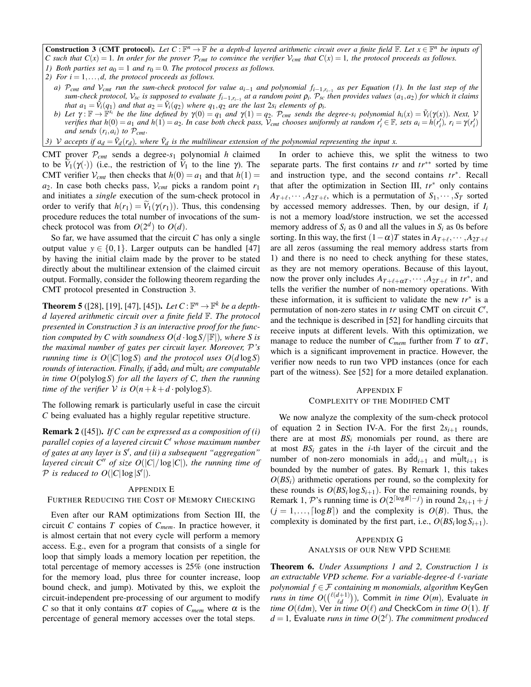**Construction 3 (CMT protocol).** Let  $C: \mathbb{F}^n \to \mathbb{F}$  be a depth-d layered arithmetic circuit over a finite field  $\mathbb{F}$ . Let  $x \in \mathbb{F}^n$  be inputs of *C* such that  $C(x) = 1$ . In order for the prover  $P_{cmt}$  to convince the verifier  $V_{cmt}$  that  $C(x) = 1$ , the protocol proceeds as follows.

- *1) Both parties set*  $a_0 = 1$  *and*  $r_0 = 0$ *. The protocol process as follows.*
- *2) For*  $i = 1, \ldots, d$ , *the protocol proceeds as follows.* 
	- *a)* P*cmt and* V*cmt run the sum-check protocol for value ai*−<sup>1</sup> *and polynomial fi*−1,*ri*−<sup>1</sup> *as per Equation (1). In the last step of the* sum-check protocol,  $V_{sc}$  is supposed to evaluate  $f_{i-1,r_{i-1}}$  at a random point  $\rho_i$ .  $\mathcal{P}_{sc}$  then provides values  $(a_1,a_2)$  for which it claims *that*  $a_1 = \tilde{V}_i(q_1)$  *and that*  $a_2 = \tilde{V}_i(q_2)$  *where*  $q_1, q_2$  *are the last*  $2s_i$  *elements of*  $\rho_i$ *.*
	- b) Let  $\gamma: \mathbb{F} \to \mathbb{F}^{s_i}$  be the line defined by  $\gamma(0) = q_1$  and  $\gamma(1) = q_2$ . P<sub>cmt</sub> sends the degree-s<sub>i</sub> polynomial  $h_i(x) = \tilde{V}_i(\gamma(x))$ . Next,  $V$ verifies that  $h(0) = a_1$  and  $h(1) = a_2$ . In case both check pass,  $\mathcal{V}_{cmt}$  chooses uniformly at random  $r'_i \in \mathbb{F}$ , sets  $a_i = h(r'_i)$ ,  $r_i = \gamma(r'_i)$ *and sends*  $(r_i, a_i)$  *to*  $P_{cmt}$ *.*
- *3) V* accepts if  $a_d = \tilde{V}_d(r_d)$ , where  $\tilde{V}_d$  is the multilinear extension of the polynomial representing the input x.

CMT prover P*cmt* sends a degree-*s*<sup>1</sup> polynomial *h* claimed to be  $V_1(\gamma(\cdot))$  (i.e., the restriction of  $V_1$  to the line  $\gamma$ ). The CMT verifier  $V_{cmt}$  then checks that  $h(0) = a_1$  and that  $h(1) =$  $a_2$ . In case both checks pass,  $V_{cmt}$  picks a random point  $r_1$ and initiates a *single* execution of the sum-check protocol in order to verify that  $h(r_1) = V_1(\gamma(r_1))$ . Thus, this condensing procedure reduces the total number of invocations of the sumcheck protocol was from  $O(2^d)$  to  $O(d)$ .

So far, we have assumed that the circuit *C* has only a single output value  $y \in \{0, 1\}$ . Larger outputs can be handled [47] by having the initial claim made by the prover to be stated directly about the multilinear extension of the claimed circuit output. Formally, consider the following theorem regarding the CMT protocol presented in Construction 3.

**Theorem 5** ([28], [19], [47], [45]). *Let*  $C: \mathbb{F}^n \to \mathbb{F}^k$  *be a depthd layered arithmetic circuit over a finite field* F*. The protocol presented in Construction 3 is an interactive proof for the function computed by C with soundness*  $O(d \cdot \log S / |F|)$ *, where S is the maximal number of gates per circuit layer. Moreover,* P*'s running time is*  $O(|C| \log S)$  *and the protocol uses*  $O(d \log S)$ *rounds of interaction. Finally, if add<sub>i</sub> and mult<sub>i</sub> are computable in time O*(polylog*S*) *for all the layers of C, then the running time of the verifier*  $V$  *is*  $O(n+k+d \cdot \text{polylog} S)$ *.* 

The following remark is particularly useful in case the circuit *C* being evaluated has a highly regular repetitive structure.

Remark 2 ([45]). *If C can be expressed as a composition of (i) parallel copies of a layered circuit C*0 *whose maximum number of gates at any layer is S*0 *, and (ii) a subsequent "aggregation" layered circuit*  $C''$  *of size*  $O(|C|/\log|C|)$ *, the running time of*  $P$  *is reduced to*  $O(|C|\log|S'|)$ *.* 

#### APPENDIX E

### FURTHER REDUCING THE COST OF MEMORY CHECKING

Even after our RAM optimizations from Section III, the circuit *C* contains *T* copies of *Cmem*. In practice however, it is almost certain that not every cycle will perform a memory access. E.g., even for a program that consists of a single for loop that simply loads a memory location per repetition, the total percentage of memory accesses is 25% (one instruction for the memory load, plus three for counter increase, loop bound check, and jump). Motivated by this, we exploit the circuit-independent pre-processing of our argument to modify *C* so that it only contains  $\alpha T$  copies of  $C_{mem}$  where  $\alpha$  is the percentage of general memory accesses over the total steps.

In order to achieve this, we split the witness to two separate parts. The first contains *tr* and *tr*∗∗ sorted by time and instruction type, and the second contains *tr*∗ . Recall that after the optimization in Section III, *tr*∗ only contains  $A_{T+\ell}, \dots, A_{2T+\ell}$ , which is a permutation of  $S_1, \dots, S_T$  sorted by accessed memory addresses. Then, by our design, if *I<sup>i</sup>* is not a memory load/store instruction, we set the accessed memory address of  $S_i$  as 0 and all the values in  $S_i$  as 0s before sorting. In this way, the first  $(1 - \alpha)T$  states in  $A_{T+\ell}, \dots, A_{2T+\ell}$ are all zeros (assuming the real memory address starts from 1) and there is no need to check anything for these states, as they are not memory operations. Because of this layout, now the prover only includes  $A_{T+\ell+\alpha T}$ ,  $\cdots$ ,  $A_{2T+\ell}$  in  $tr^*$ , and tells the verifier the number of non-memory operations. With these information, it is sufficient to validate the new *tr*∗ is a permutation of non-zero states in *tr* using CMT on circuit C', and the technique is described in [52] for handling circuits that receive inputs at different levels. With this optimization, we manage to reduce the number of  $C_{mem}$  further from *T* to  $\alpha T$ , which is a significant improvement in practice. However, the verifier now needs to run two VPD instances (once for each part of the witness). See [52] for a more detailed explanation.

### APPENDIX F COMPLEXITY OF THE MODIFIED CMT

We now analyze the complexity of the sum-check protocol of equation 2 in Section IV-A. For the first  $2s_{i+1}$  rounds, there are at most  $BS_i$  monomials per round, as there are at most  $BS_i$  gates in the *i*-th layer of the circuit and the number of non-zero monomials in  $a\tilde{d}d_{i+1}$  and  $m\tilde{d}dt_{i+1}$  is bounded by the number of gates. By Remark 1, this takes  $O(BS_i)$  arithmetic operations per round, so the complexity for these rounds is  $O(BS_i \log S_{i+1})$ . For the remaining rounds, by Remark 1, P's running time is  $O(2^{\lceil \log B \rceil - j})$  in round  $2s_{i+1} + j$  $(j = 1, \ldots, \lceil \log B \rceil)$  and the complexity is  $O(B)$ . Thus, the complexity is dominated by the first part, i.e.,  $O(BS_i \log S_{i+1})$ .

## APPENDIX G ANALYSIS OF OUR NEW VPD SCHEME

Theorem 6. *Under Assumptions 1 and 2, Construction 1 is an extractable VPD scheme. For a variable-degree-d* `*-variate polynomial f* ∈ F *containing m monomials, algorithm* KeyGen *runs in time O*( $\binom{\ell(d+1)}{\ell d}$  $\binom{d+1}{d}$ ), Commit *in time O*(*m*), Evaluate *in time*  $O(\ell dm)$ *, Ver in time*  $O(\ell)$  *and CheckCom <i>in time O*(1)*. If*  $d=1$ , Evaluate *runs in time*  $O(2^\ell)$ *. The commitment produced*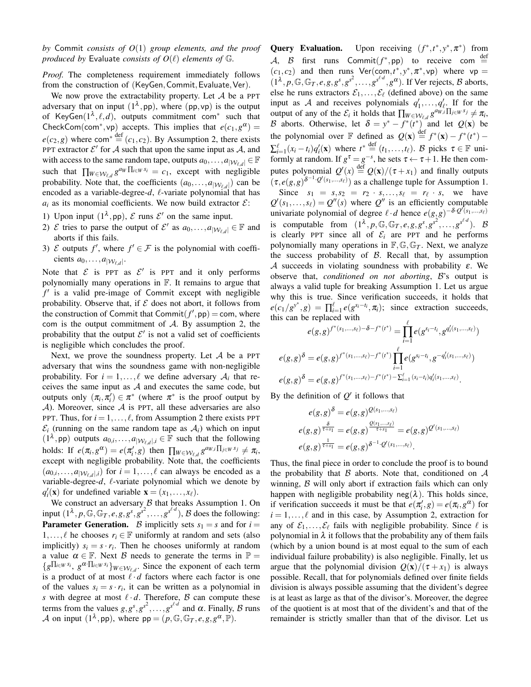*by* Commit *consists of O*(1) *group elements, and the proof produced by* Evaluate *consists of*  $O(\ell)$  *elements of*  $\mathbb{G}$ *.* 

*Proof.* The completeness requirement immediately follows from the construction of (KeyGen, Commit, Evaluate, Ver).

We now prove the extractability property. Let  $A$  be a PPT adversary that on input  $(1^{\lambda}, pp)$ , where  $(pp, vp)$  is the output of KeyGen $(1^{\lambda}, \ell, d)$ , outputs commitment com<sup>\*</sup> such that CheckCom(com<sup>\*</sup>,vp) accepts. This implies that  $e(c_1, g^{\alpha}) =$  $e(c_2, g)$  where com<sup>\*</sup>  $\stackrel{\text{def}}{=} (c_1, c_2)$ . By Assumption 2, there exists PPT extractor  $\mathcal{E}'$  for A such that upon the same input as A, and with access to the same random tape, outputs  $a_0, \ldots, a_{|\mathcal{W}_{\ell,d}|} \in \mathbb{F}$ such that  $\prod_{W \in \mathcal{W}_{\ell,d}} g^{a_W} \prod_{i \in W} s_i = c_1$ , except with negligible probability. Note that, the coefficients  $(a_0, \ldots, a_{|\mathcal{W}_{\ell,d}|})$  can be encoded as a variable-degree- $d$ ,  $\ell$ -variate polynomial that has  $a_i$  as its monomial coefficients. We now build extractor  $\mathcal{E}$ :

- 1) Upon input  $(1^{\lambda}, pp)$ ,  $\mathcal E$  runs  $\mathcal E'$  on the same input.
- 2) E tries to parse the output of E' as  $a_0, \ldots, a_{|\mathcal{W}_{\ell,d}|} \in \mathbb{F}$  and aborts if this fails.
- 3)  $\mathcal E$  outputs  $f'$ , where  $f' \in \mathcal F$  is the polynomial with coefficients  $a_0, \ldots, a_{|\mathcal{W}_{\ell,d}|}.$

Note that  $\mathcal E$  is PPT as  $\mathcal E'$  is PPT and it only performs polynomially many operations in F. It remains to argue that *f* 0 is a valid pre-image of Commit except with negligible probability. Observe that, if  $E$  does not abort, it follows from the construction of Commit that  $\n *Commit*( $f'$ ,  $pp$ ) = *com*, where$ com is the output commitment of  $A$ . By assumption 2, the probability that the output  $\mathcal{E}'$  is not a valid set of coefficients is negligible which concludes the proof.

Next, we prove the soundness property. Let  $A$  be a PPT adversary that wins the soundness game with non-negligible probability. For  $i = 1, ..., \ell$  we define adversary  $A_i$  that receives the same input as  $A$  and executes the same code, but outputs only  $(\pi_i, \pi'_i) \in \pi^*$  (where  $\pi^*$  is the proof output by  $\mathcal A$ ). Moreover, since  $\mathcal A$  is PPT, all these adversaries are also PPT. Thus, for  $i = 1, \ldots, \ell$ , from Assumption 2 there exists PPT  $\mathcal{E}_i$  (running on the same random tape as  $\mathcal{A}_i$ ) which on input  $(1^{\lambda}, \text{pp})$  outputs  $a_{0,i}, \ldots, a_{|\mathcal{W}_{\ell,d}|,i} \in \mathbb{F}$  such that the following holds: If  $e(\pi_i, g^{\alpha}) = e(\pi'_i, g)$  then  $\prod_{W \in \mathcal{W}_{\ell,d}} g^{a_{W,i} \prod_{j \in W} s_j} \neq \pi_i$ , except with negligible probability. Note that, the coefficients  $(a_{0,i},...,a_{|\mathcal{W}_{\ell,d}|,i})$  for  $i=1,...,\ell$  can always be encoded as a variable-degree- $d$ ,  $\ell$ -variate polynomial which we denote by  $q'_i(\mathbf{x})$  for undefined variable  $\mathbf{x} = (x_1, \dots, x_\ell)$ .

We construct an adversary  $\beta$  that breaks Assumption 1. On input  $(1^{\lambda}, p, \mathbb{G}, \mathbb{G}_T, e, g, g^s, g^{s^2}, \dots, g^{s^{\ell \cdot d}}), \mathcal{B}$  does the following: **Parameter Generation.** B implicitly sets  $s_1 = s$  and for  $i =$ 1,...,  $\ell$  he chooses  $r_i \in \mathbb{F}$  uniformly at random and sets (also implicitly)  $s_i = s \cdot r_i$ . Then he chooses uniformly at random a value  $\alpha \in \mathbb{F}$ . Next  $\beta$  needs to generate the terms in  $\mathbb{P} =$  ${g^{\prod_{i \in W} s_i}, g^{\alpha \cdot \prod_{i \in W} s_i}}$ *W*∈*W*<sub>*l*,*d*</sub>. Since the exponent of each term is a product of at most  $l \cdot d$  factors where each factor is one of the values  $s_i = s \cdot r_i$ , it can be written as a polynomial in *s* with degree at most  $\ell \cdot d$ . Therefore, B can compute these terms from the values  $g, g^s, g^{s^2}, \ldots, g^{s^{\ell d}}$  and  $\alpha$ . Finally, B runs A on input  $(1^{\lambda}, pp)$ , where  $pp = (p, \mathbb{G}, \mathbb{G}_T, e, g, g^{\alpha}, \mathbb{P}).$ 

Query Evaluation. \*,*t*\*, *y*\*, π<sup>\*</sup>) from A, B first runs  $\text{Commit}(f^*, \text{pp})$  to receive com  $\stackrel{\text{def}}{=}$  $(c_1, c_2)$  and then runs  $Ver(com, t^*, y^*, \pi^*, vp)$  where  $vp =$  $(1^{\lambda}, p, \mathbb{G}, \mathbb{G}_T, e, g, g^s, g^{s^2}, \dots, g^{s^{\ell \cdot d}}, g^{\alpha})$ . If Ver rejects, B aborts, else he runs extractors  $\mathcal{E}_1, \ldots, \mathcal{E}_\ell$  (defined above) on the same input as A and receives polynomials  $q'_1, \ldots, q'_{\ell}$ . If for the output of any of the  $\mathcal{E}_i$  it holds that  $\prod_{W \in \mathcal{W}_{\ell,d}} g^{a_{W,i} \prod_{j \in W} s_j} \neq \pi_i$ , B aborts. Otherwise, let  $\delta = y^* - f^*(t^*)$  and let  $Q(\mathbf{x})$  be the polynomial over  $\mathbb F$  defined as  $Q(\mathbf{x}) \stackrel{\text{def}}{=} f^*(\mathbf{x}) - f^*(t^*)$  $\sum_{i=1}^{\ell} (x_i - t_i) q'_i(\mathbf{x})$  where  $t^* \stackrel{\text{def}}{=} (t_1, \ldots, t_{\ell})$ . B picks  $\tau \in \mathbb{F}$  uniformly at random. If  $g^{\tau} = g^{-s}$ , he sets  $\tau \leftarrow \tau + 1$ . He then computes polynomial  $Q'(x) \stackrel{\text{def}}{=} Q(x)/(\tau + x_1)$  and finally outputs  $(\tau, e(g, g)^{\delta^{-1} \cdot Q'(s_1, \ldots, s_\ell)})$  as a challenge tuple for Assumption 1. Since  $s_1 = s, s_2 = r_2 \cdot s, \ldots, s_\ell = r_\ell \cdot s$ , we have  $Q'(s_1,...,s_\ell) = Q''(s)$  where  $Q''$  is an efficiently computable univariate polynomial of degree  $\ell \cdot d$  hence  $e(g,g)^{-\delta \cdot Q'(s_1,\ldots,s_\ell)}$ is computable from  $(1^{\lambda}, p, \mathbb{G}, \mathbb{G}_T, e, g, g^s, g^{s^2}, \dots, g^{s^{\ell \cdot d}})$ . B is clearly PPT since all of  $\mathcal{E}_i$  are PPT and he performs polynomially many operations in  $\mathbb{F}, \mathbb{G}, \mathbb{G}_T$ . Next, we analyze

the success probability of  $B$ . Recall that, by assumption A succeeds in violating soundness with probability  $\varepsilon$ . We observe that, *conditioned on not aborting*, B's output is always a valid tuple for breaking Assumption 1. Let us argue why this is true. Since verification succeeds, it holds that  $e(c_1/g^{y^*}, g) = \prod_{i=1}^{\ell} e(g^{s_i-t_i}, \pi_i)$ ; since extraction succeeds, this can be replaced with

$$
e(g,g)^{f^*(s_1,\ldots,s_\ell)-\delta-f^*(t^*)} = \prod_{i=1}^\ell e(g^{s_i-t_i},g^{q'_i(s_1,\ldots,s_\ell)})
$$

$$
e(g,g)^{\delta} = e(g,g)^{f^*(s_1,\ldots,s_\ell)-f^*(t^*)} \prod_{i=1}^\ell e(g^{s_i-t_i},g^{-q'_i(s_1,\ldots,s_\ell)})
$$

$$
e(g,g)^{\delta} = e(g,g)^{f^*(s_1,\ldots,s_\ell)-f^*(t^*) - \sum_{i=1}^\ell (s_i-t_i)q'_i(s_1,\ldots,s_\ell)}.
$$

By the definition of  $Q'$  it follows that

$$
e(g,g)^{\delta} = e(g,g)^{Q(s_1,...,s_{\ell})}
$$
  
\n
$$
e(g,g)^{\frac{\delta}{\tau+s_1}} = e(g,g)^{\frac{Q(s_1,...,s_{\ell})}{\tau+s_1}} = e(g,g)^{Q'(s_1,...,s_{\ell})}
$$
  
\n
$$
e(g,g)^{\frac{1}{\tau+s_1}} = e(g,g)^{\delta^{-1} \cdot Q'(s_1,...,s_{\ell})}.
$$

Thus, the final piece in order to conclude the proof is to bound the probability that  $\beta$  aborts. Note that, conditioned on  $\mathcal A$ winning, B will only abort if extraction fails which can only happen with negligible probability neg( $\lambda$ ). This holds since, if verification succeeds it must be that  $e(\pi'_i, g) = e(\pi_i, g^\alpha)$  for  $i = 1, \ldots, \ell$  and in this case, by Assumption 2, extraction for any of  $\mathcal{E}_1, \ldots, \mathcal{E}_\ell$  fails with negligible probability. Since  $\ell$  is polynomial in  $\lambda$  it follows that the probability any of them fails (which by a union bound is at most equal to the sum of each individual failure probability) is also negligible. Finally, let us argue that the polynomial division  $Q(x)/(\tau + x_1)$  is always possible. Recall, that for polynomials defined over finite fields division is always possible assuming that the divident's degree is at least as large as that of the divisor's. Moreover, the degree of the quotient is at most that of the divident's and that of the remainder is strictly smaller than that of the divisor. Let us